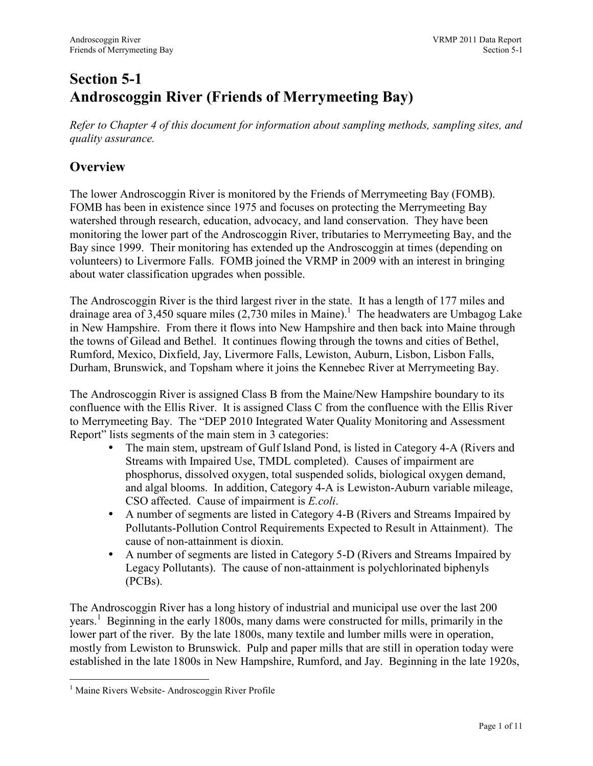## Section 5-1 Androscoggin River (Friends of Merrymeeting Bay)

Refer to Chapter 4 of this document for information about sampling methods, sampling sites, and quality assurance.

## **Overview**

The lower Androscoggin River is monitored by the Friends of Merrymeeting Bay (FOMB). FOMB has been in existence since 1975 and focuses on protecting the Merrymeeting Bay watershed through research, education, advocacy, and land conservation. They have been monitoring the lower part of the Androscoggin River, tributaries to Merrymeeting Bay, and the Bay since 1999. Their monitoring has extended up the Androscoggin at times (depending on volunteers) to Livermore Falls. FOMB joined the VRMP in 2009 with an interest in bringing about water classification upgrades when possible.

The Androscoggin River is the third largest river in the state. It has a length of 177 miles and drainage area of 3,450 square miles  $(2,730 \text{ miles in Maine})$ .<sup>1</sup> The headwaters are Umbagog Lake in New Hampshire. From there it flows into New Hampshire and then back into Maine through the towns of Gilead and Bethel. It continues flowing through the towns and cities of Bethel, Rumford, Mexico, Dixfield, Jay, Livermore Falls, Lewiston, Auburn, Lisbon, Lisbon Falls, Durham, Brunswick, and Topsham where it joins the Kennebec River at Merrymeeting Bay.

The Androscoggin River is assigned Class B from the Maine/New Hampshire boundary to its confluence with the Ellis River. It is assigned Class C from the confluence with the Ellis River to Merrymeeting Bay. The "DEP 2010 Integrated Water Quality Monitoring and Assessment Report" lists segments of the main stem in 3 categories:

- The main stem, upstream of Gulf Island Pond, is listed in Category 4-A (Rivers and Streams with Impaired Use, TMDL completed). Causes of impairment are phosphorus, dissolved oxygen, total suspended solids, biological oxygen demand, and algal blooms. In addition, Category 4-A is Lewiston-Auburn variable mileage, CSO affected. Cause of impairment is E.coli.
- A number of segments are listed in Category 4-B (Rivers and Streams Impaired by Pollutants-Pollution Control Requirements Expected to Result in Attainment). The cause of non-attainment is dioxin.
- A number of segments are listed in Category 5-D (Rivers and Streams Impaired by Legacy Pollutants). The cause of non-attainment is polychlorinated biphenyls (PCBs).

The Androscoggin River has a long history of industrial and municipal use over the last 200 years.<sup>1</sup> Beginning in the early 1800s, many dams were constructed for mills, primarily in the lower part of the river. By the late 1800s, many textile and lumber mills were in operation, mostly from Lewiston to Brunswick. Pulp and paper mills that are still in operation today were established in the late 1800s in New Hampshire, Rumford, and Jay. Beginning in the late 1920s,

 $\overline{a}$ <sup>1</sup> Maine Rivers Website- Androscoggin River Profile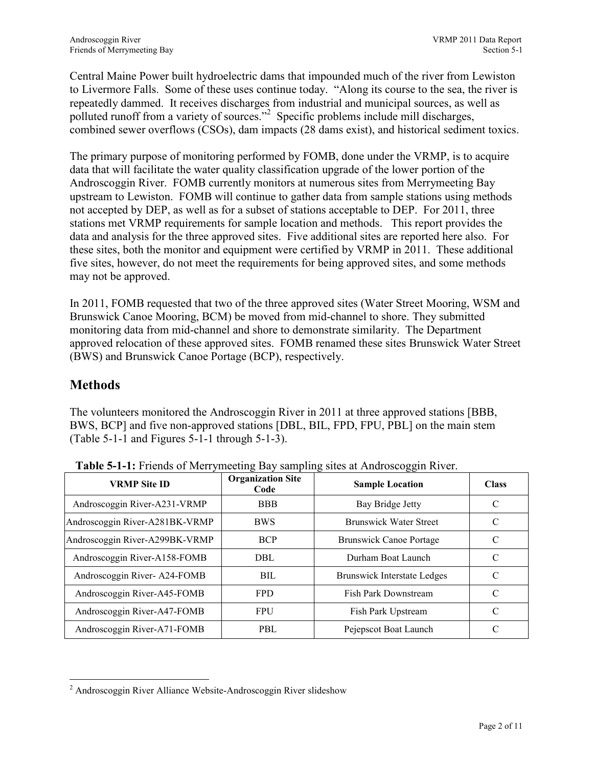Central Maine Power built hydroelectric dams that impounded much of the river from Lewiston to Livermore Falls. Some of these uses continue today. "Along its course to the sea, the river is repeatedly dammed. It receives discharges from industrial and municipal sources, as well as polluted runoff from a variety of sources."<sup>2</sup> Specific problems include mill discharges, combined sewer overflows (CSOs), dam impacts (28 dams exist), and historical sediment toxics.

The primary purpose of monitoring performed by FOMB, done under the VRMP, is to acquire data that will facilitate the water quality classification upgrade of the lower portion of the Androscoggin River. FOMB currently monitors at numerous sites from Merrymeeting Bay upstream to Lewiston. FOMB will continue to gather data from sample stations using methods not accepted by DEP, as well as for a subset of stations acceptable to DEP. For 2011, three stations met VRMP requirements for sample location and methods. This report provides the data and analysis for the three approved sites. Five additional sites are reported here also. For these sites, both the monitor and equipment were certified by VRMP in 2011. These additional five sites, however, do not meet the requirements for being approved sites, and some methods may not be approved.

In 2011, FOMB requested that two of the three approved sites (Water Street Mooring, WSM and Brunswick Canoe Mooring, BCM) be moved from mid-channel to shore. They submitted monitoring data from mid-channel and shore to demonstrate similarity. The Department approved relocation of these approved sites. FOMB renamed these sites Brunswick Water Street (BWS) and Brunswick Canoe Portage (BCP), respectively.

#### **Methods**

 $\overline{a}$ 

The volunteers monitored the Androscoggin River in 2011 at three approved stations [BBB, BWS, BCP] and five non-approved stations [DBL, BIL, FPD, FPU, PBL] on the main stem (Table 5-1-1 and Figures 5-1-1 through 5-1-3).

| <b>VRMP Site ID</b>            | <b>Organization Site</b><br>Code | <b>Sample Location</b>             | <b>Class</b>  |
|--------------------------------|----------------------------------|------------------------------------|---------------|
| Androscoggin River-A231-VRMP   | <b>BBB</b>                       | Bay Bridge Jetty                   | C             |
| Androscoggin River-A281BK-VRMP | <b>BWS</b>                       | <b>Brunswick Water Street</b>      | C             |
| Androscoggin River-A299BK-VRMP | <b>BCP</b>                       | <b>Brunswick Canoe Portage</b>     | C             |
| Androscoggin River-A158-FOMB   | DBL                              | Durham Boat Launch                 | C             |
| Androscoggin River-A24-FOMB    | BIL                              | <b>Brunswick Interstate Ledges</b> | C             |
| Androscoggin River-A45-FOMB    | <b>FPD</b>                       | <b>Fish Park Downstream</b>        | $\mathcal{C}$ |
| Androscoggin River-A47-FOMB    | <b>FPU</b>                       | Fish Park Upstream                 | $\mathcal{C}$ |
| Androscoggin River-A71-FOMB    | PBL                              | Pejepscot Boat Launch              | C             |

Table 5-1-1: Friends of Merrymeeting Bay sampling sites at Androscoggin River.

<sup>&</sup>lt;sup>2</sup> Androscoggin River Alliance Website-Androscoggin River slideshow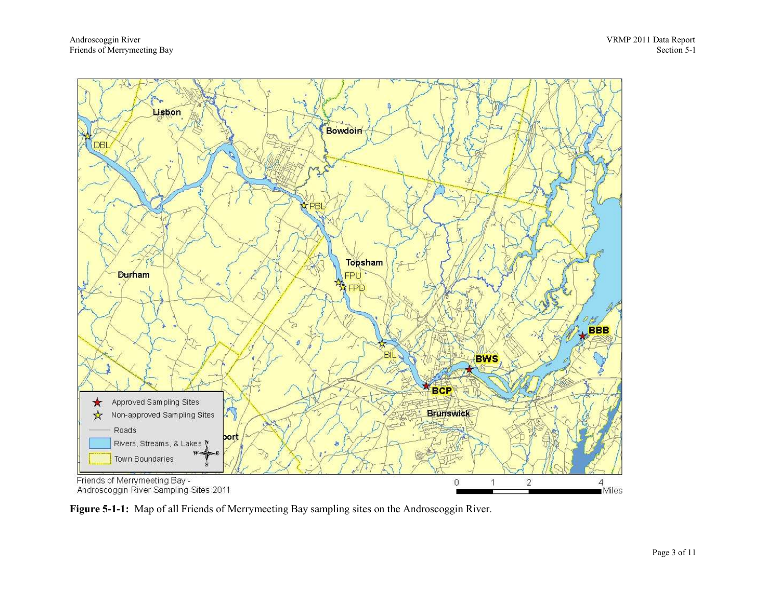

Figure 5-1-1: Map of all Friends of Merrymeeting Bay sampling sites on the Androscoggin River.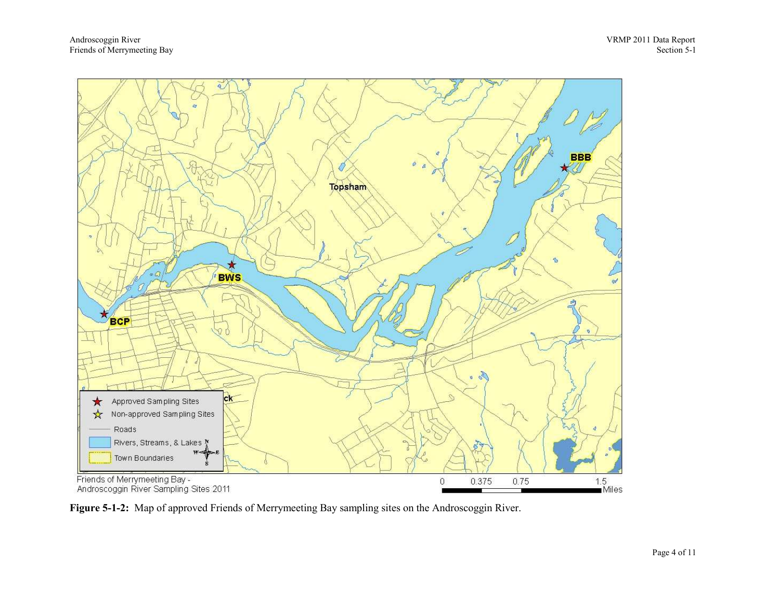

Figure 5-1-2: Map of approved Friends of Merrymeeting Bay sampling sites on the Androscoggin River.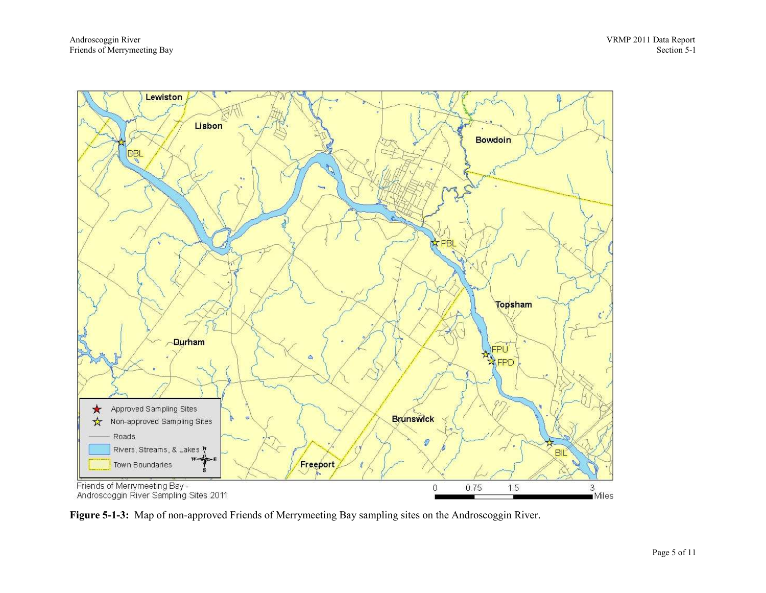

Figure 5-1-3: Map of non-approved Friends of Merrymeeting Bay sampling sites on the Androscoggin River.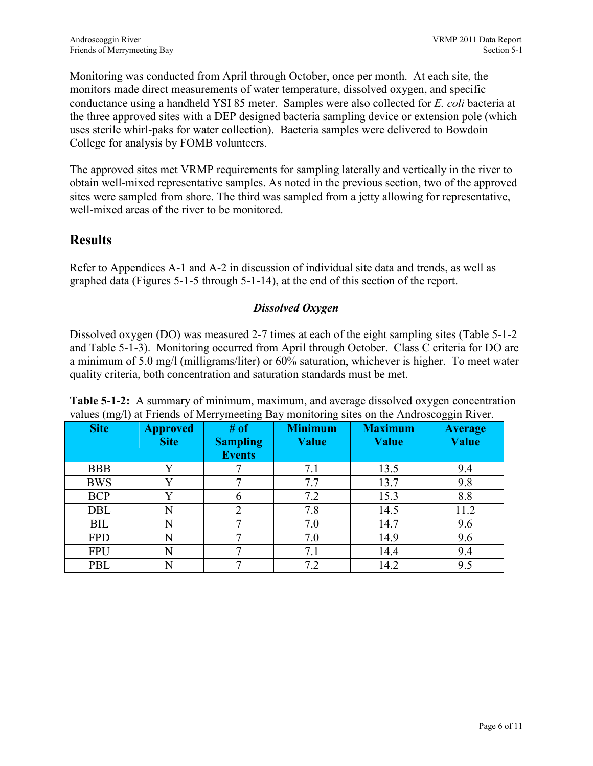Monitoring was conducted from April through October, once per month. At each site, the monitors made direct measurements of water temperature, dissolved oxygen, and specific conductance using a handheld YSI 85 meter. Samples were also collected for E. coli bacteria at the three approved sites with a DEP designed bacteria sampling device or extension pole (which uses sterile whirl-paks for water collection). Bacteria samples were delivered to Bowdoin College for analysis by FOMB volunteers.

The approved sites met VRMP requirements for sampling laterally and vertically in the river to obtain well-mixed representative samples. As noted in the previous section, two of the approved sites were sampled from shore. The third was sampled from a jetty allowing for representative, well-mixed areas of the river to be monitored.

#### **Results**

Refer to Appendices A-1 and A-2 in discussion of individual site data and trends, as well as graphed data (Figures 5-1-5 through 5-1-14), at the end of this section of the report.

#### Dissolved Oxygen

Dissolved oxygen (DO) was measured 2-7 times at each of the eight sampling sites (Table 5-1-2 and Table 5-1-3). Monitoring occurred from April through October. Class C criteria for DO are a minimum of 5.0 mg/l (milligrams/liter) or 60% saturation, whichever is higher. To meet water quality criteria, both concentration and saturation standards must be met.

| <b>Site</b> | <b>Approved</b><br><b>Site</b> | # of<br><b>Sampling</b><br><b>Events</b> | <b>Minimum</b><br>Value | <b>Maximum</b><br><b>Value</b> | <b>Average</b><br>Value |
|-------------|--------------------------------|------------------------------------------|-------------------------|--------------------------------|-------------------------|
| <b>BBB</b>  | v                              |                                          | 7.1                     | 13.5                           | 9.4                     |
| <b>BWS</b>  | v                              |                                          | 7.7                     | 13.7                           | 9.8                     |
| <b>BCP</b>  | $\mathbf v$                    | h                                        | 7.2                     | 15.3                           | 8.8                     |
| <b>DBL</b>  | N                              |                                          | 7.8                     | 14.5                           | 11.2                    |
| BIL         | N                              | −                                        | 7.0                     | 14.7                           | 9.6                     |
| <b>FPD</b>  | N                              | −                                        | 7.0                     | 14.9                           | 9.6                     |
| <b>FPU</b>  | N                              | −                                        | 7.1                     | 14.4                           | 9.4                     |
| PBL         | N                              |                                          | 7.2                     | 14.2                           | 9.5                     |

Table 5-1-2: A summary of minimum, maximum, and average dissolved oxygen concentration values (mg/l) at Friends of Merrymeeting Bay monitoring sites on the Androscoggin River.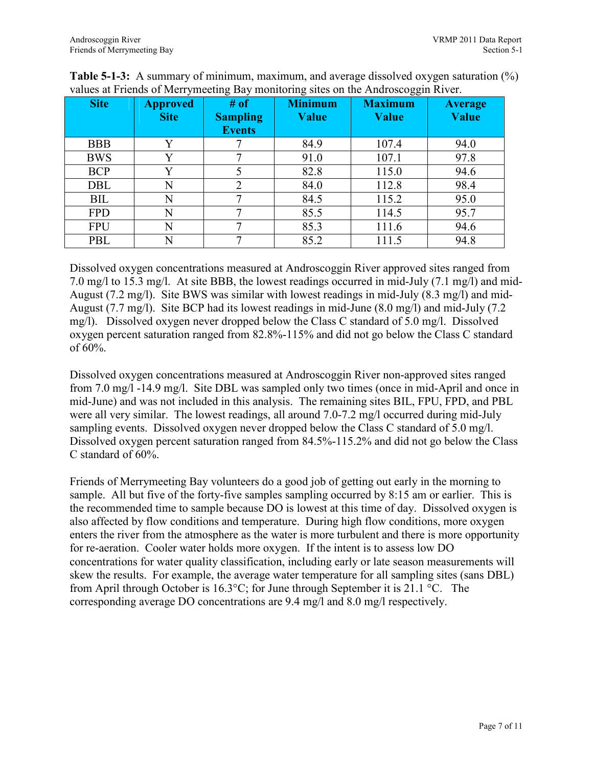| <b>Site</b> | <b>Approved</b><br><b>Site</b> | # of<br><b>Sampling</b><br><b>Events</b> | <b>Minimum</b><br><b>Value</b> | <b>Maximum</b><br><b>Value</b> | <b>Average</b><br>Value |
|-------------|--------------------------------|------------------------------------------|--------------------------------|--------------------------------|-------------------------|
| <b>BBB</b>  | Y                              |                                          | 84.9                           | 107.4                          | 94.0                    |
| <b>BWS</b>  | Y                              |                                          | 91.0                           | 107.1                          | 97.8                    |
| <b>BCP</b>  | Y                              |                                          | 82.8                           | 115.0                          | 94.6                    |
| <b>DBL</b>  | N                              | $\overline{2}$                           | 84.0                           | 112.8                          | 98.4                    |
| <b>BIL</b>  | N                              | ⇁                                        | 84.5                           | 115.2                          | 95.0                    |
| <b>FPD</b>  | N                              | ⇁                                        | 85.5                           | 114.5                          | 95.7                    |
| <b>FPU</b>  | N                              | ⇁                                        | 85.3                           | 111.6                          | 94.6                    |
| PBL         | N                              | ⇁                                        | 85.2                           | 111.5                          | 94.8                    |

Table 5-1-3: A summary of minimum, maximum, and average dissolved oxygen saturation (%) values at Friends of Merrymeeting Bay monitoring sites on the Androscoggin River.

Dissolved oxygen concentrations measured at Androscoggin River approved sites ranged from 7.0 mg/l to 15.3 mg/l. At site BBB, the lowest readings occurred in mid-July (7.1 mg/l) and mid-August (7.2 mg/l). Site BWS was similar with lowest readings in mid-July (8.3 mg/l) and mid-August (7.7 mg/l). Site BCP had its lowest readings in mid-June (8.0 mg/l) and mid-July (7.2 mg/l). Dissolved oxygen never dropped below the Class C standard of 5.0 mg/l. Dissolved oxygen percent saturation ranged from 82.8%-115% and did not go below the Class C standard of 60%.

Dissolved oxygen concentrations measured at Androscoggin River non-approved sites ranged from 7.0 mg/l -14.9 mg/l. Site DBL was sampled only two times (once in mid-April and once in mid-June) and was not included in this analysis. The remaining sites BIL, FPU, FPD, and PBL were all very similar. The lowest readings, all around 7.0-7.2 mg/l occurred during mid-July sampling events. Dissolved oxygen never dropped below the Class C standard of 5.0 mg/l. Dissolved oxygen percent saturation ranged from 84.5%-115.2% and did not go below the Class C standard of 60%.

Friends of Merrymeeting Bay volunteers do a good job of getting out early in the morning to sample. All but five of the forty-five samples sampling occurred by 8:15 am or earlier. This is the recommended time to sample because DO is lowest at this time of day. Dissolved oxygen is also affected by flow conditions and temperature. During high flow conditions, more oxygen enters the river from the atmosphere as the water is more turbulent and there is more opportunity for re-aeration. Cooler water holds more oxygen. If the intent is to assess low DO concentrations for water quality classification, including early or late season measurements will skew the results. For example, the average water temperature for all sampling sites (sans DBL) from April through October is 16.3°C; for June through September it is 21.1 °C. The corresponding average DO concentrations are 9.4 mg/l and 8.0 mg/l respectively.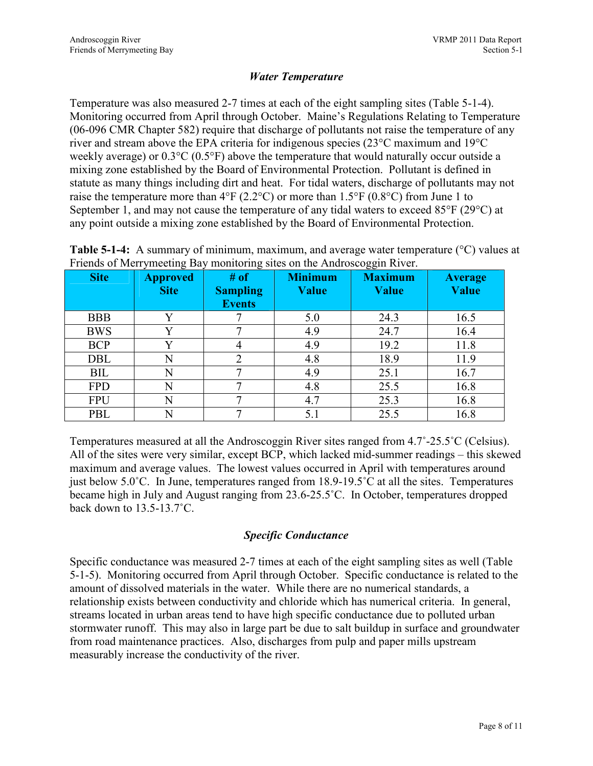#### Water Temperature

Temperature was also measured 2-7 times at each of the eight sampling sites (Table 5-1-4). Monitoring occurred from April through October. Maine's Regulations Relating to Temperature (06-096 CMR Chapter 582) require that discharge of pollutants not raise the temperature of any river and stream above the EPA criteria for indigenous species (23°C maximum and 19°C weekly average) or 0.3°C (0.5°F) above the temperature that would naturally occur outside a mixing zone established by the Board of Environmental Protection. Pollutant is defined in statute as many things including dirt and heat. For tidal waters, discharge of pollutants may not raise the temperature more than  $4^{\circ}F(2.2^{\circ}C)$  or more than  $1.5^{\circ}F(0.8^{\circ}C)$  from June 1 to September 1, and may not cause the temperature of any tidal waters to exceed 85°F (29°C) at any point outside a mixing zone established by the Board of Environmental Protection.

Table 5-1-4: A summary of minimum, maximum, and average water temperature (°C) values at Friends of Merrymeeting Bay monitoring sites on the Androscoggin River.

| <b>Site</b> | <b>Approved</b><br><b>Site</b> | # of<br><b>Sampling</b><br><b>Events</b> | <b>Minimum</b><br><b>Value</b> | $\tilde{}$<br><b>Maximum</b><br>Value | <b>Average</b><br>Value |
|-------------|--------------------------------|------------------------------------------|--------------------------------|---------------------------------------|-------------------------|
| <b>BBB</b>  | V                              |                                          | 5.0                            | 24.3                                  | 16.5                    |
| <b>BWS</b>  | v                              |                                          | 4.9                            | 24.7                                  | 16.4                    |
| <b>BCP</b>  | V                              |                                          | 4.9                            | 19.2                                  | 11.8                    |
| <b>DBL</b>  | N                              | ↑                                        | 4.8                            | 18.9                                  | 11.9                    |
| BIL         | N                              |                                          | 4.9                            | 25.1                                  | 16.7                    |
| <b>FPD</b>  | N                              |                                          | 4.8                            | 25.5                                  | 16.8                    |
| <b>FPU</b>  | N                              |                                          | 4.7                            | 25.3                                  | 16.8                    |
| PBL         | N                              | ⇁                                        | 5.1                            | 25.5                                  | 16.8                    |

Temperatures measured at all the Androscoggin River sites ranged from 4.7˚-25.5˚C (Celsius). All of the sites were very similar, except BCP, which lacked mid-summer readings – this skewed maximum and average values. The lowest values occurred in April with temperatures around just below 5.0˚C. In June, temperatures ranged from 18.9-19.5˚C at all the sites. Temperatures became high in July and August ranging from 23.6-25.5˚C. In October, temperatures dropped back down to 13.5-13.7˚C.

#### Specific Conductance

Specific conductance was measured 2-7 times at each of the eight sampling sites as well (Table 5-1-5). Monitoring occurred from April through October. Specific conductance is related to the amount of dissolved materials in the water. While there are no numerical standards, a relationship exists between conductivity and chloride which has numerical criteria. In general, streams located in urban areas tend to have high specific conductance due to polluted urban stormwater runoff. This may also in large part be due to salt buildup in surface and groundwater from road maintenance practices. Also, discharges from pulp and paper mills upstream measurably increase the conductivity of the river.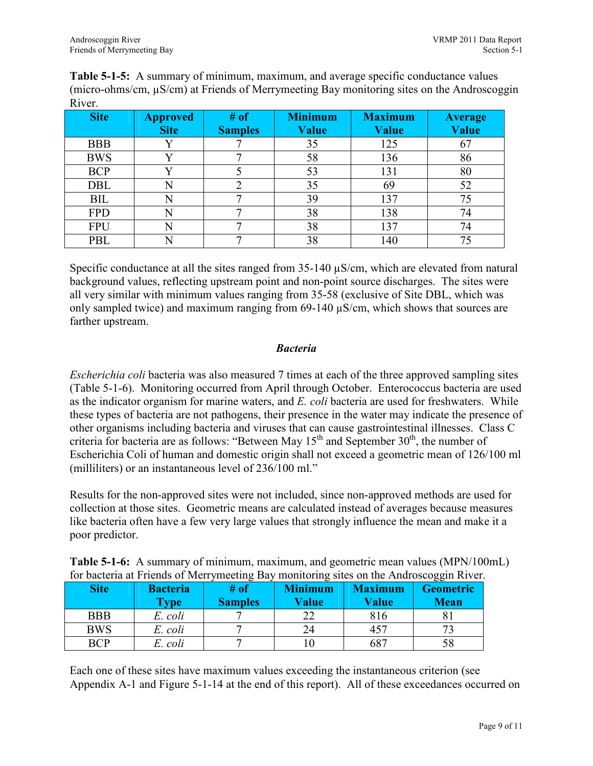Table 5-1-5: A summary of minimum, maximum, and average specific conductance values (micro-ohms/cm, µS/cm) at Friends of Merrymeeting Bay monitoring sites on the Androscoggin River.

| <b>Site</b> | <b>Approved</b> | # of           | <b>Minimum</b> | <b>Maximum</b> | <b>Average</b> |
|-------------|-----------------|----------------|----------------|----------------|----------------|
|             | <b>Site</b>     | <b>Samples</b> | Value          | Value          | <b>Value</b>   |
| <b>BBB</b>  |                 |                | 35             | 125            | 67             |
| <b>BWS</b>  | v               |                | 58             | 136            | 86             |
| <b>BCP</b>  | $\mathbf{V}$    |                | 53             | 131            | 80             |
| <b>DBL</b>  |                 |                | 35             | 69             | 52             |
| <b>BIL</b>  | N               |                | 39             | 137            | 75             |
| <b>FPD</b>  |                 |                | 38             | 138            | 74             |
| <b>FPU</b>  | N               |                | 38             | 137            | 74             |
| <b>PBL</b>  |                 |                | 38             | 140            | 75             |

Specific conductance at all the sites ranged from 35-140  $\mu$ S/cm, which are elevated from natural background values, reflecting upstream point and non-point source discharges. The sites were all very similar with minimum values ranging from 35-58 (exclusive of Site DBL, which was only sampled twice) and maximum ranging from  $69-140 \mu S/cm$ , which shows that sources are farther upstream.

#### Bacteria

Escherichia coli bacteria was also measured 7 times at each of the three approved sampling sites (Table 5-1-6). Monitoring occurred from April through October. Enterococcus bacteria are used as the indicator organism for marine waters, and E. coli bacteria are used for freshwaters. While these types of bacteria are not pathogens, their presence in the water may indicate the presence of other organisms including bacteria and viruses that can cause gastrointestinal illnesses. Class C criteria for bacteria are as follows: "Between May  $15<sup>th</sup>$  and September  $30<sup>th</sup>$ , the number of Escherichia Coli of human and domestic origin shall not exceed a geometric mean of 126/100 ml (milliliters) or an instantaneous level of 236/100 ml."

Results for the non-approved sites were not included, since non-approved methods are used for collection at those sites. Geometric means are calculated instead of averages because measures like bacteria often have a few very large values that strongly influence the mean and make it a poor predictor.

| <b>Table 5-1-6:</b> A summary of minimum, maximum, and geometric mean values (MPN/100mL) |  |  |  |
|------------------------------------------------------------------------------------------|--|--|--|
| for bacteria at Friends of Merrymeeting Bay monitoring sites on the Androscoggin River.  |  |  |  |

| <b>Site</b> | <b>Bacteria</b><br><b>Type</b> | # of<br><b>Samples</b> | <b>Minimum</b><br><b>Value</b> | <b>Maximum</b><br><b>Value</b> | <b>Geometric</b><br><b>Mean</b> |
|-------------|--------------------------------|------------------------|--------------------------------|--------------------------------|---------------------------------|
| <b>BBB</b>  | E. coli                        |                        | າາ                             | 816                            |                                 |
| <b>BWS</b>  | E. coli                        |                        | 24                             | 457                            |                                 |
| <b>BCP</b>  | E. coli                        |                        |                                | 687                            |                                 |

Each one of these sites have maximum values exceeding the instantaneous criterion (see Appendix A-1 and Figure 5-1-14 at the end of this report). All of these exceedances occurred on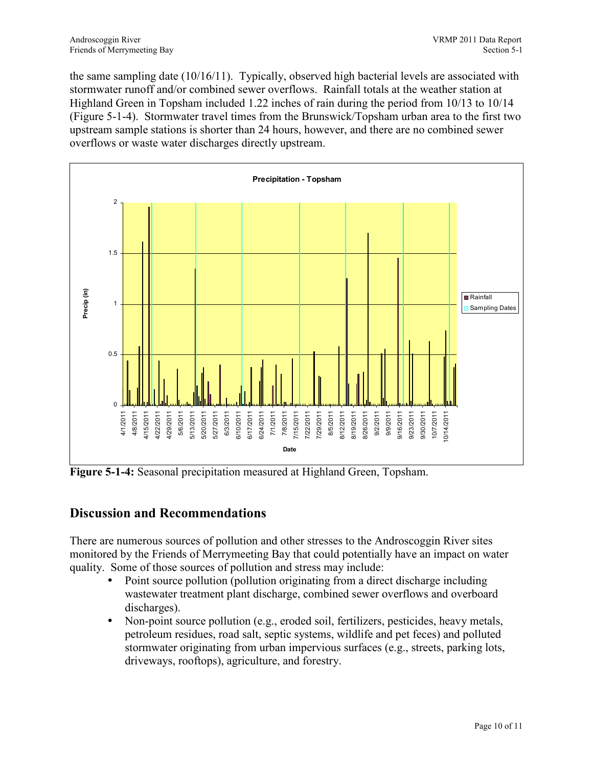the same sampling date (10/16/11). Typically, observed high bacterial levels are associated with stormwater runoff and/or combined sewer overflows. Rainfall totals at the weather station at Highland Green in Topsham included 1.22 inches of rain during the period from 10/13 to 10/14 (Figure 5-1-4). Stormwater travel times from the Brunswick/Topsham urban area to the first two upstream sample stations is shorter than 24 hours, however, and there are no combined sewer overflows or waste water discharges directly upstream.



Figure 5-1-4: Seasonal precipitation measured at Highland Green, Topsham.

### Discussion and Recommendations

There are numerous sources of pollution and other stresses to the Androscoggin River sites monitored by the Friends of Merrymeeting Bay that could potentially have an impact on water quality. Some of those sources of pollution and stress may include:

- Point source pollution (pollution originating from a direct discharge including wastewater treatment plant discharge, combined sewer overflows and overboard discharges).
- Non-point source pollution (e.g., eroded soil, fertilizers, pesticides, heavy metals, petroleum residues, road salt, septic systems, wildlife and pet feces) and polluted stormwater originating from urban impervious surfaces (e.g., streets, parking lots, driveways, rooftops), agriculture, and forestry.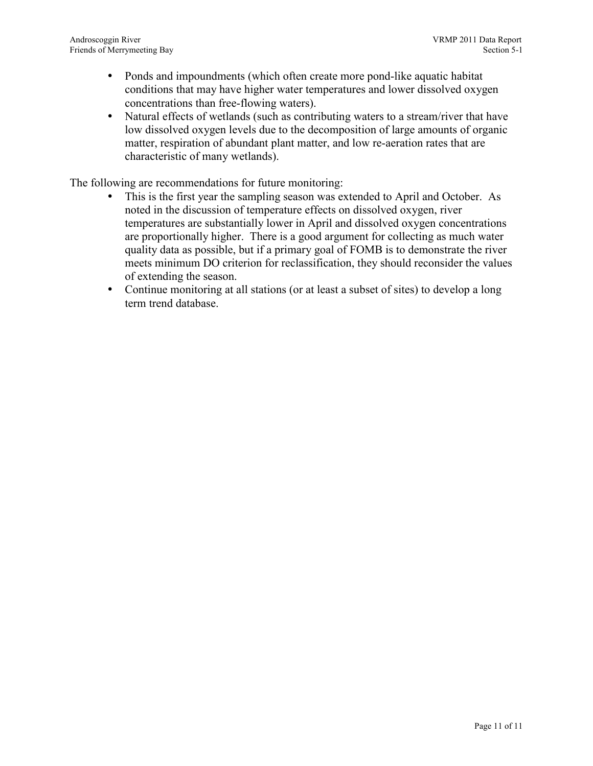- Ponds and impoundments (which often create more pond-like aquatic habitat conditions that may have higher water temperatures and lower dissolved oxygen concentrations than free-flowing waters).
- Natural effects of wetlands (such as contributing waters to a stream/river that have low dissolved oxygen levels due to the decomposition of large amounts of organic matter, respiration of abundant plant matter, and low re-aeration rates that are characteristic of many wetlands).

The following are recommendations for future monitoring:

- This is the first year the sampling season was extended to April and October. As noted in the discussion of temperature effects on dissolved oxygen, river temperatures are substantially lower in April and dissolved oxygen concentrations are proportionally higher. There is a good argument for collecting as much water quality data as possible, but if a primary goal of FOMB is to demonstrate the river meets minimum DO criterion for reclassification, they should reconsider the values of extending the season.
- Continue monitoring at all stations (or at least a subset of sites) to develop a long term trend database.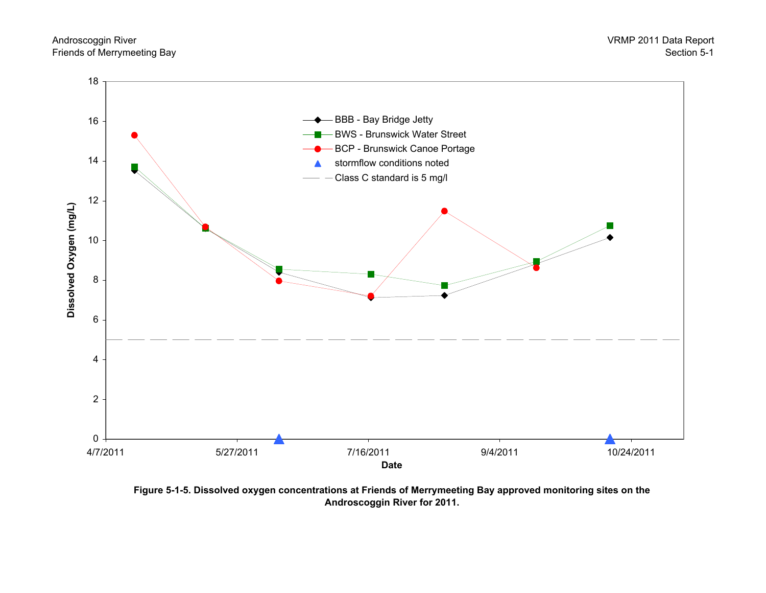

Figure 5-1-5. Dissolved oxygen concentrations at Friends of Merrymeeting Bay approved monitoring sites on the Androscoggin River for 2011.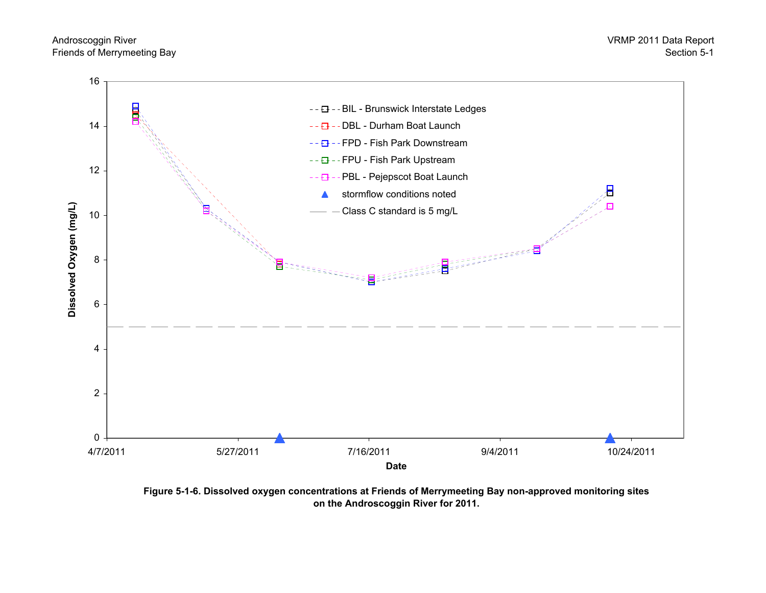

Figure 5-1-6. Dissolved oxygen concentrations at Friends of Merrymeeting Bay non-approved monitoring sites on the Androscoggin River for 2011.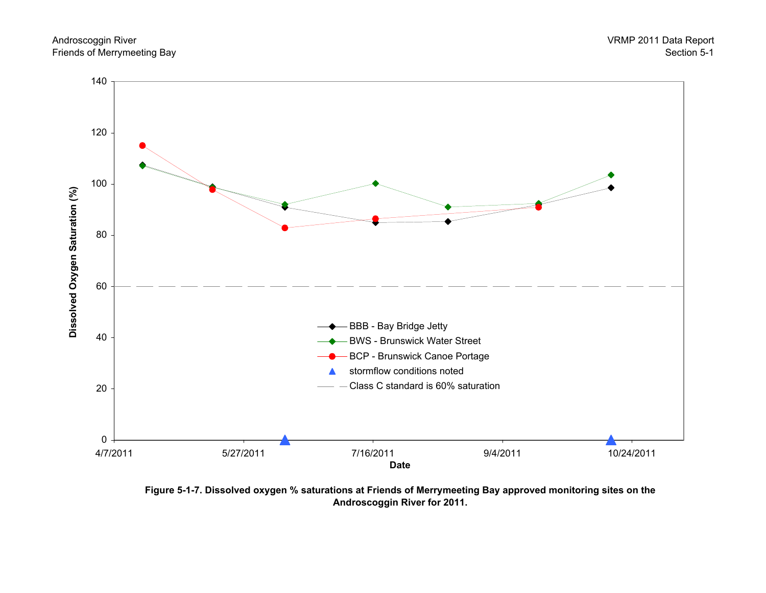



Figure 5-1-7. Dissolved oxygen % saturations at Friends of Merrymeeting Bay approved monitoring sites on the Androscoggin River for 2011.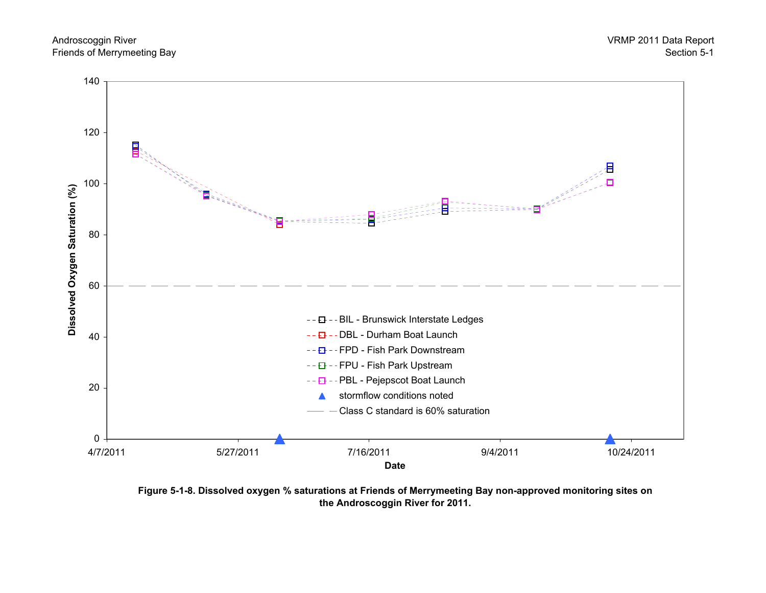



Figure 5-1-8. Dissolved oxygen % saturations at Friends of Merrymeeting Bay non-approved monitoring sites on the Androscoggin River for 2011.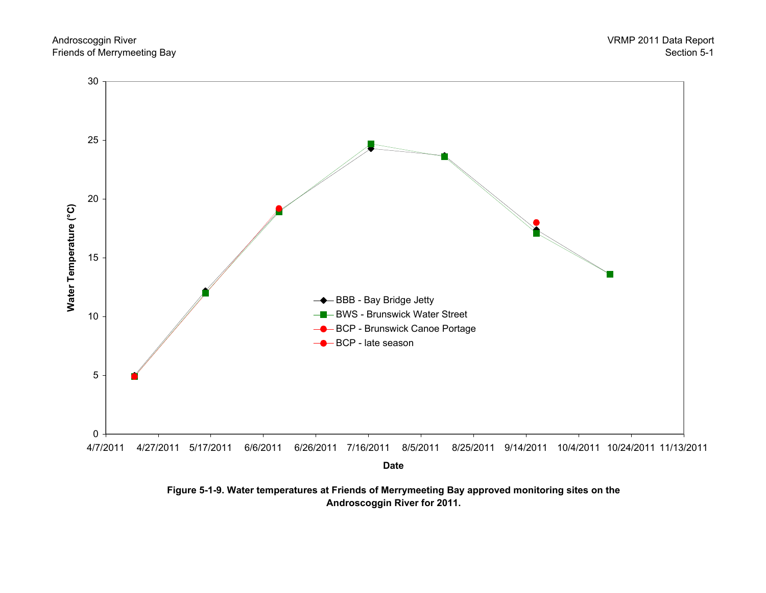



Figure 5-1-9. Water temperatures at Friends of Merrymeeting Bay approved monitoring sites on the Androscoggin River for 2011.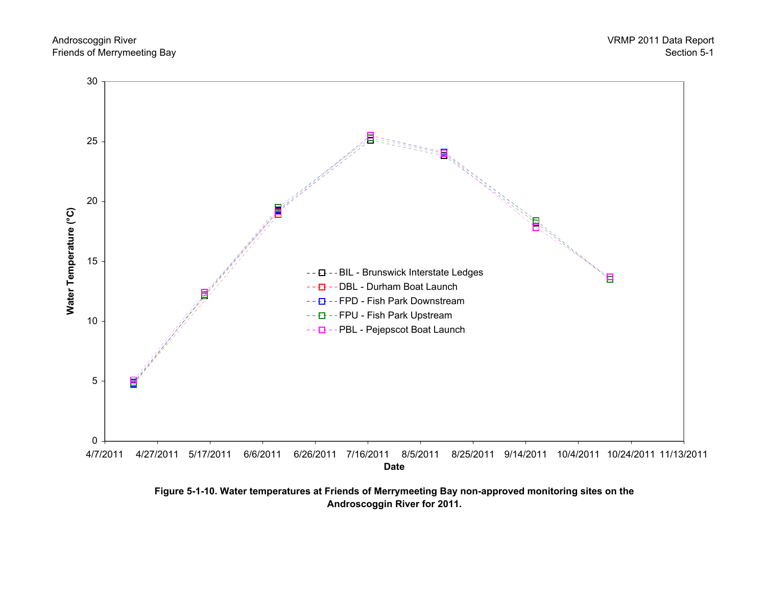



Figure 5-1-10. Water temperatures at Friends of Merrymeeting Bay non-approved monitoring sites on the Androscoggin River for 2011.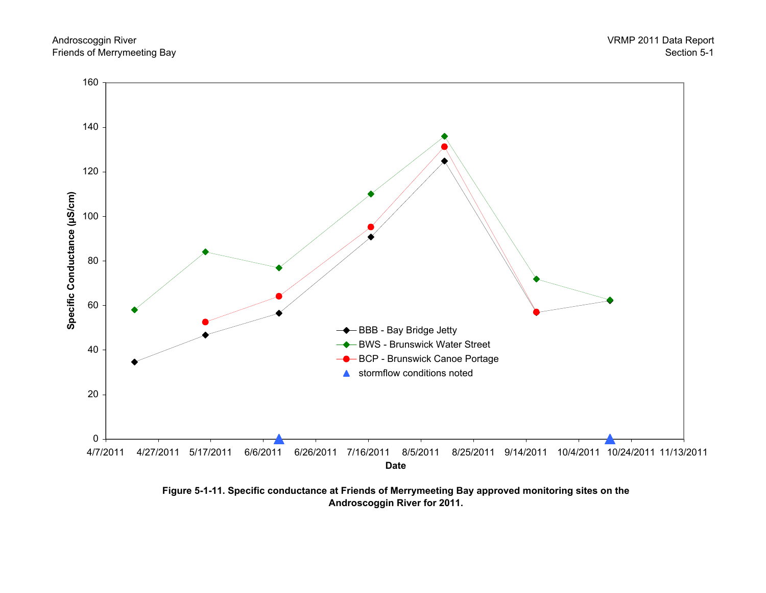



Figure 5-1-11. Specific conductance at Friends of Merrymeeting Bay approved monitoring sites on the Androscoggin River for 2011.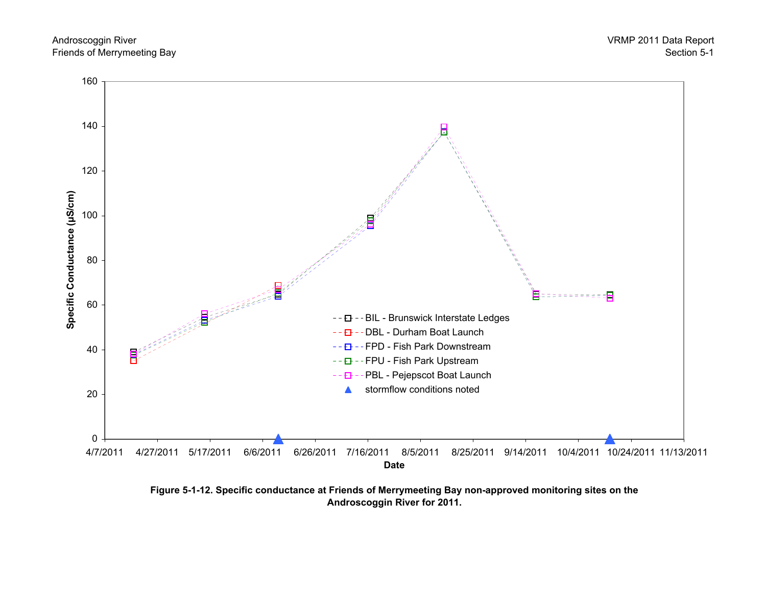

Figure 5-1-12. Specific conductance at Friends of Merrymeeting Bay non-approved monitoring sites on the Androscoggin River for 2011.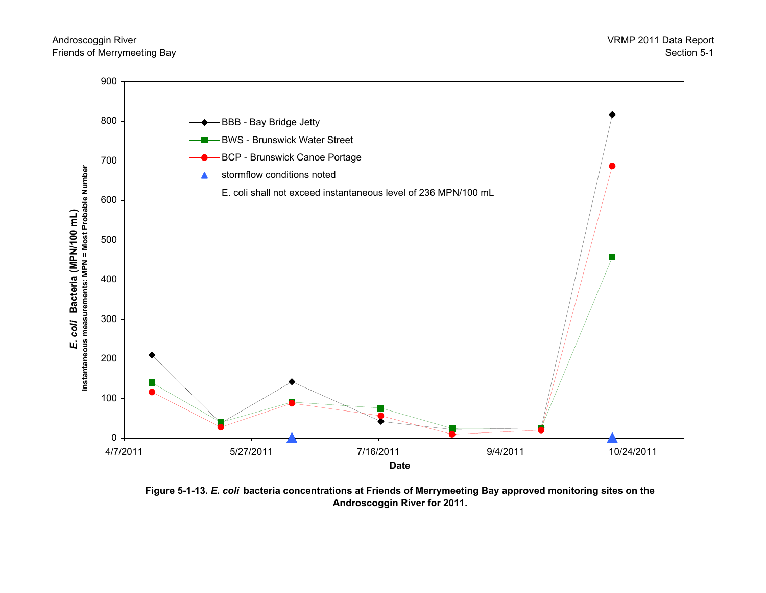

Figure 5-1-13. E. coli bacteria concentrations at Friends of Merrymeeting Bay approved monitoring sites on the Androscoggin River for 2011.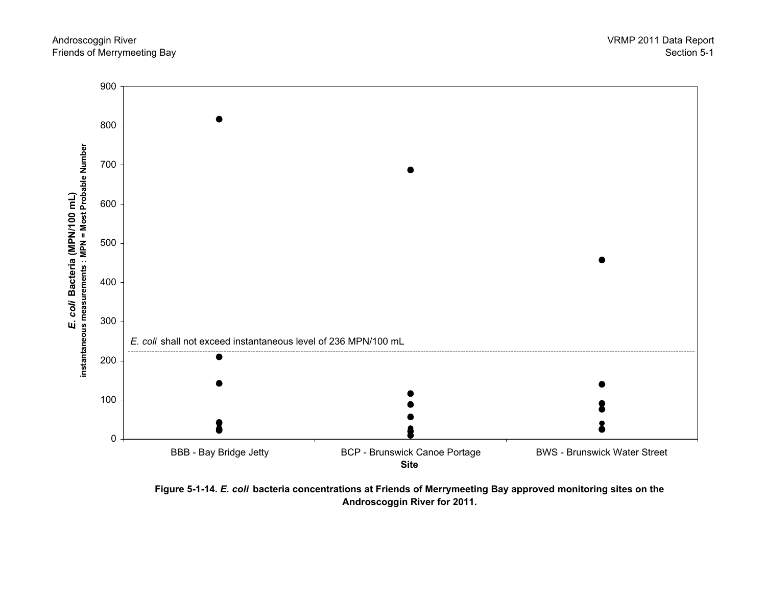

Figure 5-1-14. E. coli bacteria concentrations at Friends of Merrymeeting Bay approved monitoring sites on the Androscoggin River for 2011.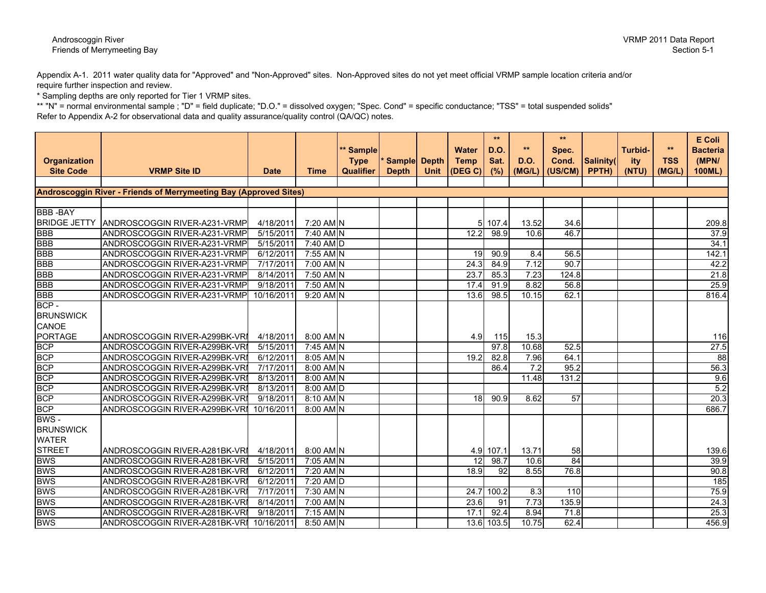#### Androscoggin RiverFriends of Merrymeeting Bay

Appendix A-1. 2011 water quality data for "Approved" and "Non-Approved" sites. Non-Approved sites do not yet meet official VRMP sample location criteria and/or require further inspection and review.

\* Sampling depths are only reported for Tier 1 VRMP sites.

 \*\* "N" = normal environmental sample ; "D" = field duplicate; "D.O." = dissolved oxygen; "Spec. Cond" = specific conductance; "TSS" = total suspended solids"Refer to Appendix A-2 for observational data and quality assurance/quality control (QA/QC) notes.

|                     |                                                                          |             |             | ** Sample        |              |             | <b>Water</b>     | **<br>D.O.   | $**$             | $**$<br>Spec. |           | <b>Turbid-</b> | $***$      | E Coli<br><b>Bacteria</b> |
|---------------------|--------------------------------------------------------------------------|-------------|-------------|------------------|--------------|-------------|------------------|--------------|------------------|---------------|-----------|----------------|------------|---------------------------|
| <b>Organization</b> |                                                                          |             |             | <b>Type</b>      | Sample Depth |             | <b>Temp</b>      | Sat.         | <b>D.O.</b>      | Cond.         | Salinity( | ity            | <b>TSS</b> | (MPN/                     |
| <b>Site Code</b>    | <b>VRMP Site ID</b>                                                      | <b>Date</b> | <b>Time</b> | <b>Qualifier</b> | <b>Depth</b> | <b>Unit</b> | (DEG C)          | (%)          | (MGIL)           | (US/CM)       | PPTH)     | (NTU)          | (MGIL)     | 100ML)                    |
|                     | <b>Androscoggin River - Friends of Merrymeeting Bay (Approved Sites)</b> |             |             |                  |              |             |                  |              |                  |               |           |                |            |                           |
|                     |                                                                          |             |             |                  |              |             |                  |              |                  |               |           |                |            |                           |
| <b>BBB-BAY</b>      |                                                                          |             |             |                  |              |             |                  |              |                  |               |           |                |            |                           |
| <b>BRIDGE JETTY</b> | ANDROSCOGGIN RIVER-A231-VRMP                                             | 4/18/2011   | 7:20 AM N   |                  |              |             |                  | 5 107.4      | 13.52            | 34.6          |           |                |            | 209.8                     |
| <b>BBB</b>          | ANDROSCOGGIN RIVER-A231-VRMP                                             | 5/15/2011   | 7:40 AM N   |                  |              |             | 12.2             | 98.9         | 10.6             | 46.7          |           |                |            | 37.9                      |
| <b>BBB</b>          | ANDROSCOGGIN RIVER-A231-VRMP                                             | 5/15/2011   | $7:40$ AM D |                  |              |             |                  |              |                  |               |           |                |            | 34.1                      |
| <b>BBB</b>          | ANDROSCOGGIN RIVER-A231-VRMP                                             | 6/12/2011   | 7:55 AM N   |                  |              |             | 19               | 90.9         | 8.4              | 56.5          |           |                |            | 142.1                     |
| <b>BBB</b>          | ANDROSCOGGIN RIVER-A231-VRMP                                             | 7/17/2011   | 7:00 AM N   |                  |              |             | 24.3             | 84.9         | 7.12             | 90.7          |           |                |            | 42.2                      |
| <b>BBB</b>          | ANDROSCOGGIN RIVER-A231-VRMP                                             | 8/14/2011   | 7:50 AM N   |                  |              |             | 23.7             | 85.3         | 7.23             | 124.8         |           |                |            | 21.8                      |
| <b>BBB</b>          | ANDROSCOGGIN RIVER-A231-VRMP                                             | 9/18/2011   | 7:50 AM N   |                  |              |             | 17.4             | 91.9         | 8.82             | 56.8          |           |                |            | 25.9                      |
| <b>BBB</b>          | ANDROSCOGGIN RIVER-A231-VRMP                                             | 10/16/2011  | 9:20 AM N   |                  |              |             | 13.6             | 98.5         | 10.15            | 62.1          |           |                |            | 816.4                     |
| BCP -               |                                                                          |             |             |                  |              |             |                  |              |                  |               |           |                |            |                           |
| <b>BRUNSWICK</b>    |                                                                          |             |             |                  |              |             |                  |              |                  |               |           |                |            |                           |
| CANOE               |                                                                          |             |             |                  |              |             |                  |              |                  |               |           |                |            |                           |
| <b>PORTAGE</b>      | ANDROSCOGGIN RIVER-A299BK-VRI                                            | 4/18/2011   | 8:00 AM N   |                  |              |             | 4.9 <sub>l</sub> | 115          | 15.3             |               |           |                |            | 116                       |
| <b>BCP</b>          | ANDROSCOGGIN RIVER-A299BK-VRI                                            | 5/15/2011   | $7:45$ AM N |                  |              |             |                  | 97.8         | 10.68            | 52.5          |           |                |            | 27.5                      |
| <b>BCP</b>          | ANDROSCOGGIN RIVER-A299BK-VRI                                            | 6/12/2011   | 8:05 AM N   |                  |              |             | 19.2             | 82.8         | 7.96             | 64.1          |           |                |            | 88                        |
| BCP<br>BCP<br>BCP   | ANDROSCOGGIN RIVER-A299BK-VRI                                            | 7/17/2011   | 8:00 AM N   |                  |              |             |                  | 86.4         | $\overline{7.2}$ | 95.2          |           |                |            | 56.3                      |
|                     | ANDROSCOGGIN RIVER-A299BK-VRI                                            | 8/13/2011   | 8:00 AM N   |                  |              |             |                  |              | 11.48            | 131.2         |           |                |            | 9.6                       |
|                     | ANDROSCOGGIN RIVER-A299BK-VRI                                            | 8/13/2011   | 8:00 AM D   |                  |              |             |                  |              |                  |               |           |                |            | 5.2                       |
| <b>BCP</b>          | ANDROSCOGGIN RIVER-A299BK-VRI                                            | 9/18/2011   | 8:10 AM N   |                  |              |             | 18               | 90.9         | 8.62             | 57            |           |                |            | 20.3                      |
| <b>BCP</b>          | ANDROSCOGGIN RIVER-A299BK-VRI                                            | 10/16/2011  | 8:00 AM N   |                  |              |             |                  |              |                  |               |           |                |            | 686.7                     |
| BWS-                |                                                                          |             |             |                  |              |             |                  |              |                  |               |           |                |            |                           |
| <b>BRUNSWICK</b>    |                                                                          |             |             |                  |              |             |                  |              |                  |               |           |                |            |                           |
| <b>WATER</b>        |                                                                          |             |             |                  |              |             |                  |              |                  |               |           |                |            |                           |
| <b>STREET</b>       | ANDROSCOGGIN RIVER-A281BK-VRI                                            | 4/18/2011   | 8:00 AM N   |                  |              |             |                  | 4.9 107.1    | 13.71            | 58            |           |                |            | 139.6                     |
| <b>BWS</b>          | ANDROSCOGGIN RIVER-A281BK-VRI                                            | 5/15/2011   | 7:05 AM N   |                  |              |             | $\overline{12}$  | 98.7         | 10.6             | 84            |           |                |            | 39.9                      |
| <b>BWS</b>          | ANDROSCOGGIN RIVER-A281BK-VRI                                            | 6/12/2011   | 7:20 AM N   |                  |              |             | 18.9             | 92           | 8.55             | 76.8          |           |                |            | 90.8                      |
| <b>BWS</b>          | ANDROSCOGGIN RIVER-A281BK-VRI                                            | 6/12/2011   | 7:20 AM D   |                  |              |             |                  |              |                  |               |           |                |            | 185                       |
| <b>BWS</b>          | ANDROSCOGGIN RIVER-A281BK-VRI                                            | 7/17/2011   | 7:30 AM N   |                  |              |             | 24.7             | 100.2        | 8.3              | 110           |           |                |            | 75.9                      |
| <b>BWS</b>          | ANDROSCOGGIN RIVER-A281BK-VRI                                            | 8/14/2011   | 7:00 AM N   |                  |              |             | 23.6             | 91           | 7.73             | 135.9         |           |                |            | 24.3                      |
| <b>BWS</b>          | ANDROSCOGGIN RIVER-A281BK-VRI                                            | 9/18/2011   | 7:15 AM N   |                  |              |             | 17.1             | 92.4         | 8.94             | 71.8          |           |                |            | 25.3                      |
| <b>BWS</b>          | ANDROSCOGGIN RIVER-A281BK-VRI                                            | 10/16/2011  | 8:50 AM N   |                  |              |             |                  | $13.6$ 103.5 | 10.75            | 62.4          |           |                |            | 456.9                     |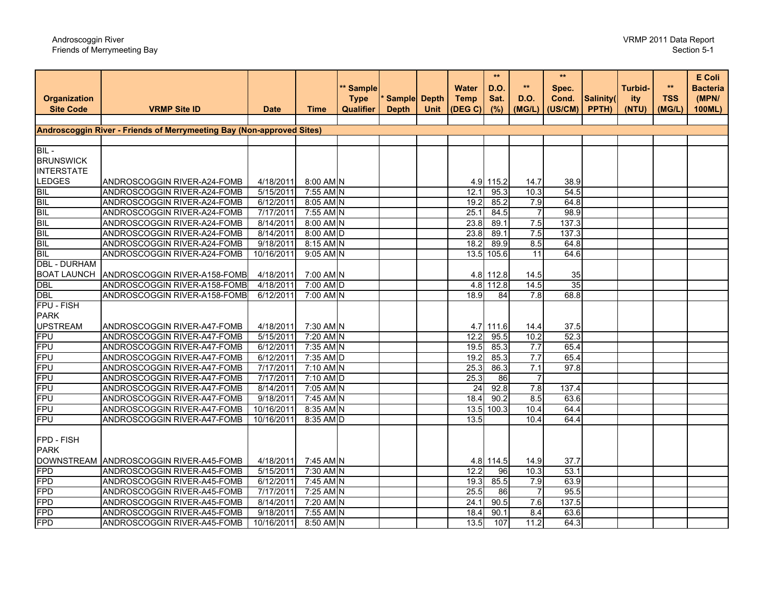# Androscoggin River Friends of Merrymeeting Bay

| Sample Depth<br>Salinity(<br>ity<br><b>Site Code</b><br><b>VRMP Site ID</b><br>(US/CM)<br>100ML)<br>Qualifier<br><b>Depth</b><br><b>Unit</b><br>(DEG C)<br>(%)<br>(MGIL)<br>PPTH)<br>(NTU)<br>(MGIL)<br><b>Date</b><br>Time<br>Androscoggin River - Friends of Merrymeeting Bay (Non-approved Sites)<br>8:00 AM N<br>ANDROSCOGGIN RIVER-A24-FOMB<br>4/18/2011<br>4.9 115.2<br>38.9<br>14.7<br>BIL<br>BIL<br>BIL<br>54.5<br>ANDROSCOGGIN RIVER-A24-FOMB<br>5/15/2011<br>$7:55$ AM N<br>95.3<br>10.3<br>12.1<br>8:05 AM N<br>ANDROSCOGGIN RIVER-A24-FOMB<br>6/12/2011<br>85.2<br>7.9<br>64.8<br>19.2<br>BIL<br>BIL<br>BIL<br>7/17/2011<br>7:55 AM N<br>25.1<br>98.9<br>ANDROSCOGGIN RIVER-A24-FOMB<br>84.5<br>$\overline{7}$<br>ANDROSCOGGIN RIVER-A24-FOMB<br>8:00 AM N<br>23.8<br>89.1<br>7.5<br>137.3<br>8/14/2011<br>8:00 AM D<br>ANDROSCOGGIN RIVER-A24-FOMB<br>8/14/2011<br>23.8<br>7.5<br>137.3<br>89.1<br>BIL<br>BIL<br>ANDROSCOGGIN RIVER-A24-FOMB<br>9/18/2011<br>8:15 AM N<br>18.2<br>89.9<br>8.5<br>64.8<br>9:05 AM N<br>ANDROSCOGGIN RIVER-A24-FOMB<br>10/16/2011<br>105.6<br>11<br>64.6<br>13.5<br><b>DBL - DURHAM</b><br><b>BOAT LAUNCH</b><br>ANDROSCOGGIN RIVER-A158-FOMB<br>7:00 AM N<br>4/18/2011<br>4.8 112.8<br>14.5<br>35<br><b>DBL</b><br>35<br>ANDROSCOGGIN RIVER-A158-FOMB<br>4/18/2011<br>7:00 AM D<br>112.8<br>14.5<br>4.8<br><b>DBL</b><br>7:00 AM N<br>ANDROSCOGGIN RIVER-A158-FOMB<br>6/12/2011<br>18.9<br>$\overline{84}$<br>7.8<br>68.8<br>FPU - FISH<br><b>PARK</b><br><b>UPSTREAM</b><br>ANDROSCOGGIN RIVER-A47-FOMB<br>4/18/2011<br>7:30 AM N<br>37.5<br>4.7 111.6<br>14.4<br><b>FPU</b><br>7:20 AM N<br>52.3<br>ANDROSCOGGIN RIVER-A47-FOMB<br>5/15/2011<br>12.2<br>95.5<br>10.2<br>FPU<br>7.7<br>65.4<br>ANDROSCOGGIN RIVER-A47-FOMB<br>6/12/2011<br>7:35 AM N<br>85.3<br>19.5<br><b>FPU</b><br>7:35 AM D<br>7.7<br>ANDROSCOGGIN RIVER-A47-FOMB<br>6/12/2011<br>19.2<br>85.3<br>65.4<br><b>FPU</b><br>7:10 AM N<br>7.1<br>97.8<br>ANDROSCOGGIN RIVER-A47-FOMB<br>7/17/2011<br>25.3<br>86.3<br><b>FPU</b><br>7:10 AM D<br>7/17/2011<br>25.3<br>86<br>$\overline{7}$<br>ANDROSCOGGIN RIVER-A47-FOMB<br><b>FPU</b><br>ANDROSCOGGIN RIVER-A47-FOMB<br>8/14/2011<br>7:05 AM N<br>24<br>92.8<br>7.8<br>137.4<br><b>FPU</b><br>7:45 AM N<br>63.6<br>ANDROSCOGGIN RIVER-A47-FOMB<br>9/18/2011<br>18.4<br>90.2<br>$\overline{85}$<br>FPU<br>10.4<br>64.4<br>ANDROSCOGGIN RIVER-A47-FOMB<br>10/16/2011<br>8:35 AM N<br>13.5<br>100.3<br>FPU<br>ANDROSCOGGIN RIVER-A47-FOMB<br>10/16/2011<br>8:35 AM D<br>13.5<br>10.4<br>64.4<br>FPD - FISH<br><b>PARK</b><br>DOWNSTREAM ANDROSCOGGIN RIVER-A45-FOMB<br>7:45 AM N<br>4/18/2011<br>4.8 114.5<br>14.9<br>37.7<br>FPD<br>7:30 AM N<br>53.1<br>ANDROSCOGGIN RIVER-A45-FOMB<br>5/15/2011<br>12.2<br>96<br>10.3<br><b>FPD</b><br>7:45 AM N<br>85.5<br>7.9<br>63.9<br>ANDROSCOGGIN RIVER-A45-FOMB<br>6/12/2011<br>19.3<br>FPD<br>$7:25$ AM N<br>25.5<br>95.5<br>ANDROSCOGGIN RIVER-A45-FOMB<br>7/17/2011<br>86<br>$\overline{7}$<br>FPD<br>137.5<br>ANDROSCOGGIN RIVER-A45-FOMB<br>8/14/2011<br>7:20 AM N<br>24.1<br>90.5<br>7.6<br><b>FPD</b><br>ANDROSCOGGIN RIVER-A45-FOMB<br>9/18/2011<br>7:55 AM N<br>63.6<br>18.4<br>90.1<br>8.4<br>8:50 AM N |                     |                             |            | ** Sample   |  | <b>Water</b> | $***$<br><b>D.O.</b> | $\star\star$ | $\star\star$<br>Spec. | <b>Turbid-</b> | $\star\star$ | E Coli<br><b>Bacteria</b> |
|-----------------------------------------------------------------------------------------------------------------------------------------------------------------------------------------------------------------------------------------------------------------------------------------------------------------------------------------------------------------------------------------------------------------------------------------------------------------------------------------------------------------------------------------------------------------------------------------------------------------------------------------------------------------------------------------------------------------------------------------------------------------------------------------------------------------------------------------------------------------------------------------------------------------------------------------------------------------------------------------------------------------------------------------------------------------------------------------------------------------------------------------------------------------------------------------------------------------------------------------------------------------------------------------------------------------------------------------------------------------------------------------------------------------------------------------------------------------------------------------------------------------------------------------------------------------------------------------------------------------------------------------------------------------------------------------------------------------------------------------------------------------------------------------------------------------------------------------------------------------------------------------------------------------------------------------------------------------------------------------------------------------------------------------------------------------------------------------------------------------------------------------------------------------------------------------------------------------------------------------------------------------------------------------------------------------------------------------------------------------------------------------------------------------------------------------------------------------------------------------------------------------------------------------------------------------------------------------------------------------------------------------------------------------------------------------------------------------------------------------------------------------------------------------------------------------------------------------------------------------------------------------------------------------------------------------------------------------------------------------------------------------------------------------------------------------------------------------------------------------------------------------------------------------------------------------------------------------------|---------------------|-----------------------------|------------|-------------|--|--------------|----------------------|--------------|-----------------------|----------------|--------------|---------------------------|
|                                                                                                                                                                                                                                                                                                                                                                                                                                                                                                                                                                                                                                                                                                                                                                                                                                                                                                                                                                                                                                                                                                                                                                                                                                                                                                                                                                                                                                                                                                                                                                                                                                                                                                                                                                                                                                                                                                                                                                                                                                                                                                                                                                                                                                                                                                                                                                                                                                                                                                                                                                                                                                                                                                                                                                                                                                                                                                                                                                                                                                                                                                                                                                                                                       | <b>Organization</b> |                             |            | <b>Type</b> |  | <b>Temp</b>  | Sat.                 | <b>D.O.</b>  | Cond.                 |                | <b>TSS</b>   | (MPN/                     |
|                                                                                                                                                                                                                                                                                                                                                                                                                                                                                                                                                                                                                                                                                                                                                                                                                                                                                                                                                                                                                                                                                                                                                                                                                                                                                                                                                                                                                                                                                                                                                                                                                                                                                                                                                                                                                                                                                                                                                                                                                                                                                                                                                                                                                                                                                                                                                                                                                                                                                                                                                                                                                                                                                                                                                                                                                                                                                                                                                                                                                                                                                                                                                                                                                       |                     |                             |            |             |  |              |                      |              |                       |                |              |                           |
|                                                                                                                                                                                                                                                                                                                                                                                                                                                                                                                                                                                                                                                                                                                                                                                                                                                                                                                                                                                                                                                                                                                                                                                                                                                                                                                                                                                                                                                                                                                                                                                                                                                                                                                                                                                                                                                                                                                                                                                                                                                                                                                                                                                                                                                                                                                                                                                                                                                                                                                                                                                                                                                                                                                                                                                                                                                                                                                                                                                                                                                                                                                                                                                                                       |                     |                             |            |             |  |              |                      |              |                       |                |              |                           |
|                                                                                                                                                                                                                                                                                                                                                                                                                                                                                                                                                                                                                                                                                                                                                                                                                                                                                                                                                                                                                                                                                                                                                                                                                                                                                                                                                                                                                                                                                                                                                                                                                                                                                                                                                                                                                                                                                                                                                                                                                                                                                                                                                                                                                                                                                                                                                                                                                                                                                                                                                                                                                                                                                                                                                                                                                                                                                                                                                                                                                                                                                                                                                                                                                       |                     |                             |            |             |  |              |                      |              |                       |                |              |                           |
|                                                                                                                                                                                                                                                                                                                                                                                                                                                                                                                                                                                                                                                                                                                                                                                                                                                                                                                                                                                                                                                                                                                                                                                                                                                                                                                                                                                                                                                                                                                                                                                                                                                                                                                                                                                                                                                                                                                                                                                                                                                                                                                                                                                                                                                                                                                                                                                                                                                                                                                                                                                                                                                                                                                                                                                                                                                                                                                                                                                                                                                                                                                                                                                                                       | $BIL -$             |                             |            |             |  |              |                      |              |                       |                |              |                           |
|                                                                                                                                                                                                                                                                                                                                                                                                                                                                                                                                                                                                                                                                                                                                                                                                                                                                                                                                                                                                                                                                                                                                                                                                                                                                                                                                                                                                                                                                                                                                                                                                                                                                                                                                                                                                                                                                                                                                                                                                                                                                                                                                                                                                                                                                                                                                                                                                                                                                                                                                                                                                                                                                                                                                                                                                                                                                                                                                                                                                                                                                                                                                                                                                                       | <b>BRUNSWICK</b>    |                             |            |             |  |              |                      |              |                       |                |              |                           |
|                                                                                                                                                                                                                                                                                                                                                                                                                                                                                                                                                                                                                                                                                                                                                                                                                                                                                                                                                                                                                                                                                                                                                                                                                                                                                                                                                                                                                                                                                                                                                                                                                                                                                                                                                                                                                                                                                                                                                                                                                                                                                                                                                                                                                                                                                                                                                                                                                                                                                                                                                                                                                                                                                                                                                                                                                                                                                                                                                                                                                                                                                                                                                                                                                       | <b>INTERSTATE</b>   |                             |            |             |  |              |                      |              |                       |                |              |                           |
|                                                                                                                                                                                                                                                                                                                                                                                                                                                                                                                                                                                                                                                                                                                                                                                                                                                                                                                                                                                                                                                                                                                                                                                                                                                                                                                                                                                                                                                                                                                                                                                                                                                                                                                                                                                                                                                                                                                                                                                                                                                                                                                                                                                                                                                                                                                                                                                                                                                                                                                                                                                                                                                                                                                                                                                                                                                                                                                                                                                                                                                                                                                                                                                                                       | <b>LEDGES</b>       |                             |            |             |  |              |                      |              |                       |                |              |                           |
|                                                                                                                                                                                                                                                                                                                                                                                                                                                                                                                                                                                                                                                                                                                                                                                                                                                                                                                                                                                                                                                                                                                                                                                                                                                                                                                                                                                                                                                                                                                                                                                                                                                                                                                                                                                                                                                                                                                                                                                                                                                                                                                                                                                                                                                                                                                                                                                                                                                                                                                                                                                                                                                                                                                                                                                                                                                                                                                                                                                                                                                                                                                                                                                                                       |                     |                             |            |             |  |              |                      |              |                       |                |              |                           |
|                                                                                                                                                                                                                                                                                                                                                                                                                                                                                                                                                                                                                                                                                                                                                                                                                                                                                                                                                                                                                                                                                                                                                                                                                                                                                                                                                                                                                                                                                                                                                                                                                                                                                                                                                                                                                                                                                                                                                                                                                                                                                                                                                                                                                                                                                                                                                                                                                                                                                                                                                                                                                                                                                                                                                                                                                                                                                                                                                                                                                                                                                                                                                                                                                       |                     |                             |            |             |  |              |                      |              |                       |                |              |                           |
|                                                                                                                                                                                                                                                                                                                                                                                                                                                                                                                                                                                                                                                                                                                                                                                                                                                                                                                                                                                                                                                                                                                                                                                                                                                                                                                                                                                                                                                                                                                                                                                                                                                                                                                                                                                                                                                                                                                                                                                                                                                                                                                                                                                                                                                                                                                                                                                                                                                                                                                                                                                                                                                                                                                                                                                                                                                                                                                                                                                                                                                                                                                                                                                                                       |                     |                             |            |             |  |              |                      |              |                       |                |              |                           |
|                                                                                                                                                                                                                                                                                                                                                                                                                                                                                                                                                                                                                                                                                                                                                                                                                                                                                                                                                                                                                                                                                                                                                                                                                                                                                                                                                                                                                                                                                                                                                                                                                                                                                                                                                                                                                                                                                                                                                                                                                                                                                                                                                                                                                                                                                                                                                                                                                                                                                                                                                                                                                                                                                                                                                                                                                                                                                                                                                                                                                                                                                                                                                                                                                       |                     |                             |            |             |  |              |                      |              |                       |                |              |                           |
|                                                                                                                                                                                                                                                                                                                                                                                                                                                                                                                                                                                                                                                                                                                                                                                                                                                                                                                                                                                                                                                                                                                                                                                                                                                                                                                                                                                                                                                                                                                                                                                                                                                                                                                                                                                                                                                                                                                                                                                                                                                                                                                                                                                                                                                                                                                                                                                                                                                                                                                                                                                                                                                                                                                                                                                                                                                                                                                                                                                                                                                                                                                                                                                                                       |                     |                             |            |             |  |              |                      |              |                       |                |              |                           |
|                                                                                                                                                                                                                                                                                                                                                                                                                                                                                                                                                                                                                                                                                                                                                                                                                                                                                                                                                                                                                                                                                                                                                                                                                                                                                                                                                                                                                                                                                                                                                                                                                                                                                                                                                                                                                                                                                                                                                                                                                                                                                                                                                                                                                                                                                                                                                                                                                                                                                                                                                                                                                                                                                                                                                                                                                                                                                                                                                                                                                                                                                                                                                                                                                       |                     |                             |            |             |  |              |                      |              |                       |                |              |                           |
|                                                                                                                                                                                                                                                                                                                                                                                                                                                                                                                                                                                                                                                                                                                                                                                                                                                                                                                                                                                                                                                                                                                                                                                                                                                                                                                                                                                                                                                                                                                                                                                                                                                                                                                                                                                                                                                                                                                                                                                                                                                                                                                                                                                                                                                                                                                                                                                                                                                                                                                                                                                                                                                                                                                                                                                                                                                                                                                                                                                                                                                                                                                                                                                                                       |                     |                             |            |             |  |              |                      |              |                       |                |              |                           |
|                                                                                                                                                                                                                                                                                                                                                                                                                                                                                                                                                                                                                                                                                                                                                                                                                                                                                                                                                                                                                                                                                                                                                                                                                                                                                                                                                                                                                                                                                                                                                                                                                                                                                                                                                                                                                                                                                                                                                                                                                                                                                                                                                                                                                                                                                                                                                                                                                                                                                                                                                                                                                                                                                                                                                                                                                                                                                                                                                                                                                                                                                                                                                                                                                       |                     |                             |            |             |  |              |                      |              |                       |                |              |                           |
|                                                                                                                                                                                                                                                                                                                                                                                                                                                                                                                                                                                                                                                                                                                                                                                                                                                                                                                                                                                                                                                                                                                                                                                                                                                                                                                                                                                                                                                                                                                                                                                                                                                                                                                                                                                                                                                                                                                                                                                                                                                                                                                                                                                                                                                                                                                                                                                                                                                                                                                                                                                                                                                                                                                                                                                                                                                                                                                                                                                                                                                                                                                                                                                                                       |                     |                             |            |             |  |              |                      |              |                       |                |              |                           |
|                                                                                                                                                                                                                                                                                                                                                                                                                                                                                                                                                                                                                                                                                                                                                                                                                                                                                                                                                                                                                                                                                                                                                                                                                                                                                                                                                                                                                                                                                                                                                                                                                                                                                                                                                                                                                                                                                                                                                                                                                                                                                                                                                                                                                                                                                                                                                                                                                                                                                                                                                                                                                                                                                                                                                                                                                                                                                                                                                                                                                                                                                                                                                                                                                       |                     |                             |            |             |  |              |                      |              |                       |                |              |                           |
|                                                                                                                                                                                                                                                                                                                                                                                                                                                                                                                                                                                                                                                                                                                                                                                                                                                                                                                                                                                                                                                                                                                                                                                                                                                                                                                                                                                                                                                                                                                                                                                                                                                                                                                                                                                                                                                                                                                                                                                                                                                                                                                                                                                                                                                                                                                                                                                                                                                                                                                                                                                                                                                                                                                                                                                                                                                                                                                                                                                                                                                                                                                                                                                                                       |                     |                             |            |             |  |              |                      |              |                       |                |              |                           |
|                                                                                                                                                                                                                                                                                                                                                                                                                                                                                                                                                                                                                                                                                                                                                                                                                                                                                                                                                                                                                                                                                                                                                                                                                                                                                                                                                                                                                                                                                                                                                                                                                                                                                                                                                                                                                                                                                                                                                                                                                                                                                                                                                                                                                                                                                                                                                                                                                                                                                                                                                                                                                                                                                                                                                                                                                                                                                                                                                                                                                                                                                                                                                                                                                       |                     |                             |            |             |  |              |                      |              |                       |                |              |                           |
|                                                                                                                                                                                                                                                                                                                                                                                                                                                                                                                                                                                                                                                                                                                                                                                                                                                                                                                                                                                                                                                                                                                                                                                                                                                                                                                                                                                                                                                                                                                                                                                                                                                                                                                                                                                                                                                                                                                                                                                                                                                                                                                                                                                                                                                                                                                                                                                                                                                                                                                                                                                                                                                                                                                                                                                                                                                                                                                                                                                                                                                                                                                                                                                                                       |                     |                             |            |             |  |              |                      |              |                       |                |              |                           |
|                                                                                                                                                                                                                                                                                                                                                                                                                                                                                                                                                                                                                                                                                                                                                                                                                                                                                                                                                                                                                                                                                                                                                                                                                                                                                                                                                                                                                                                                                                                                                                                                                                                                                                                                                                                                                                                                                                                                                                                                                                                                                                                                                                                                                                                                                                                                                                                                                                                                                                                                                                                                                                                                                                                                                                                                                                                                                                                                                                                                                                                                                                                                                                                                                       |                     |                             |            |             |  |              |                      |              |                       |                |              |                           |
|                                                                                                                                                                                                                                                                                                                                                                                                                                                                                                                                                                                                                                                                                                                                                                                                                                                                                                                                                                                                                                                                                                                                                                                                                                                                                                                                                                                                                                                                                                                                                                                                                                                                                                                                                                                                                                                                                                                                                                                                                                                                                                                                                                                                                                                                                                                                                                                                                                                                                                                                                                                                                                                                                                                                                                                                                                                                                                                                                                                                                                                                                                                                                                                                                       |                     |                             |            |             |  |              |                      |              |                       |                |              |                           |
|                                                                                                                                                                                                                                                                                                                                                                                                                                                                                                                                                                                                                                                                                                                                                                                                                                                                                                                                                                                                                                                                                                                                                                                                                                                                                                                                                                                                                                                                                                                                                                                                                                                                                                                                                                                                                                                                                                                                                                                                                                                                                                                                                                                                                                                                                                                                                                                                                                                                                                                                                                                                                                                                                                                                                                                                                                                                                                                                                                                                                                                                                                                                                                                                                       |                     |                             |            |             |  |              |                      |              |                       |                |              |                           |
|                                                                                                                                                                                                                                                                                                                                                                                                                                                                                                                                                                                                                                                                                                                                                                                                                                                                                                                                                                                                                                                                                                                                                                                                                                                                                                                                                                                                                                                                                                                                                                                                                                                                                                                                                                                                                                                                                                                                                                                                                                                                                                                                                                                                                                                                                                                                                                                                                                                                                                                                                                                                                                                                                                                                                                                                                                                                                                                                                                                                                                                                                                                                                                                                                       |                     |                             |            |             |  |              |                      |              |                       |                |              |                           |
|                                                                                                                                                                                                                                                                                                                                                                                                                                                                                                                                                                                                                                                                                                                                                                                                                                                                                                                                                                                                                                                                                                                                                                                                                                                                                                                                                                                                                                                                                                                                                                                                                                                                                                                                                                                                                                                                                                                                                                                                                                                                                                                                                                                                                                                                                                                                                                                                                                                                                                                                                                                                                                                                                                                                                                                                                                                                                                                                                                                                                                                                                                                                                                                                                       |                     |                             |            |             |  |              |                      |              |                       |                |              |                           |
|                                                                                                                                                                                                                                                                                                                                                                                                                                                                                                                                                                                                                                                                                                                                                                                                                                                                                                                                                                                                                                                                                                                                                                                                                                                                                                                                                                                                                                                                                                                                                                                                                                                                                                                                                                                                                                                                                                                                                                                                                                                                                                                                                                                                                                                                                                                                                                                                                                                                                                                                                                                                                                                                                                                                                                                                                                                                                                                                                                                                                                                                                                                                                                                                                       |                     |                             |            |             |  |              |                      |              |                       |                |              |                           |
|                                                                                                                                                                                                                                                                                                                                                                                                                                                                                                                                                                                                                                                                                                                                                                                                                                                                                                                                                                                                                                                                                                                                                                                                                                                                                                                                                                                                                                                                                                                                                                                                                                                                                                                                                                                                                                                                                                                                                                                                                                                                                                                                                                                                                                                                                                                                                                                                                                                                                                                                                                                                                                                                                                                                                                                                                                                                                                                                                                                                                                                                                                                                                                                                                       |                     |                             |            |             |  |              |                      |              |                       |                |              |                           |
|                                                                                                                                                                                                                                                                                                                                                                                                                                                                                                                                                                                                                                                                                                                                                                                                                                                                                                                                                                                                                                                                                                                                                                                                                                                                                                                                                                                                                                                                                                                                                                                                                                                                                                                                                                                                                                                                                                                                                                                                                                                                                                                                                                                                                                                                                                                                                                                                                                                                                                                                                                                                                                                                                                                                                                                                                                                                                                                                                                                                                                                                                                                                                                                                                       |                     |                             |            |             |  |              |                      |              |                       |                |              |                           |
|                                                                                                                                                                                                                                                                                                                                                                                                                                                                                                                                                                                                                                                                                                                                                                                                                                                                                                                                                                                                                                                                                                                                                                                                                                                                                                                                                                                                                                                                                                                                                                                                                                                                                                                                                                                                                                                                                                                                                                                                                                                                                                                                                                                                                                                                                                                                                                                                                                                                                                                                                                                                                                                                                                                                                                                                                                                                                                                                                                                                                                                                                                                                                                                                                       |                     |                             |            |             |  |              |                      |              |                       |                |              |                           |
|                                                                                                                                                                                                                                                                                                                                                                                                                                                                                                                                                                                                                                                                                                                                                                                                                                                                                                                                                                                                                                                                                                                                                                                                                                                                                                                                                                                                                                                                                                                                                                                                                                                                                                                                                                                                                                                                                                                                                                                                                                                                                                                                                                                                                                                                                                                                                                                                                                                                                                                                                                                                                                                                                                                                                                                                                                                                                                                                                                                                                                                                                                                                                                                                                       |                     |                             |            |             |  |              |                      |              |                       |                |              |                           |
|                                                                                                                                                                                                                                                                                                                                                                                                                                                                                                                                                                                                                                                                                                                                                                                                                                                                                                                                                                                                                                                                                                                                                                                                                                                                                                                                                                                                                                                                                                                                                                                                                                                                                                                                                                                                                                                                                                                                                                                                                                                                                                                                                                                                                                                                                                                                                                                                                                                                                                                                                                                                                                                                                                                                                                                                                                                                                                                                                                                                                                                                                                                                                                                                                       |                     |                             |            |             |  |              |                      |              |                       |                |              |                           |
|                                                                                                                                                                                                                                                                                                                                                                                                                                                                                                                                                                                                                                                                                                                                                                                                                                                                                                                                                                                                                                                                                                                                                                                                                                                                                                                                                                                                                                                                                                                                                                                                                                                                                                                                                                                                                                                                                                                                                                                                                                                                                                                                                                                                                                                                                                                                                                                                                                                                                                                                                                                                                                                                                                                                                                                                                                                                                                                                                                                                                                                                                                                                                                                                                       |                     |                             |            |             |  |              |                      |              |                       |                |              |                           |
|                                                                                                                                                                                                                                                                                                                                                                                                                                                                                                                                                                                                                                                                                                                                                                                                                                                                                                                                                                                                                                                                                                                                                                                                                                                                                                                                                                                                                                                                                                                                                                                                                                                                                                                                                                                                                                                                                                                                                                                                                                                                                                                                                                                                                                                                                                                                                                                                                                                                                                                                                                                                                                                                                                                                                                                                                                                                                                                                                                                                                                                                                                                                                                                                                       |                     |                             |            |             |  |              |                      |              |                       |                |              |                           |
|                                                                                                                                                                                                                                                                                                                                                                                                                                                                                                                                                                                                                                                                                                                                                                                                                                                                                                                                                                                                                                                                                                                                                                                                                                                                                                                                                                                                                                                                                                                                                                                                                                                                                                                                                                                                                                                                                                                                                                                                                                                                                                                                                                                                                                                                                                                                                                                                                                                                                                                                                                                                                                                                                                                                                                                                                                                                                                                                                                                                                                                                                                                                                                                                                       |                     |                             |            |             |  |              |                      |              |                       |                |              |                           |
|                                                                                                                                                                                                                                                                                                                                                                                                                                                                                                                                                                                                                                                                                                                                                                                                                                                                                                                                                                                                                                                                                                                                                                                                                                                                                                                                                                                                                                                                                                                                                                                                                                                                                                                                                                                                                                                                                                                                                                                                                                                                                                                                                                                                                                                                                                                                                                                                                                                                                                                                                                                                                                                                                                                                                                                                                                                                                                                                                                                                                                                                                                                                                                                                                       |                     |                             |            |             |  |              |                      |              |                       |                |              |                           |
|                                                                                                                                                                                                                                                                                                                                                                                                                                                                                                                                                                                                                                                                                                                                                                                                                                                                                                                                                                                                                                                                                                                                                                                                                                                                                                                                                                                                                                                                                                                                                                                                                                                                                                                                                                                                                                                                                                                                                                                                                                                                                                                                                                                                                                                                                                                                                                                                                                                                                                                                                                                                                                                                                                                                                                                                                                                                                                                                                                                                                                                                                                                                                                                                                       |                     |                             |            |             |  |              |                      |              |                       |                |              |                           |
|                                                                                                                                                                                                                                                                                                                                                                                                                                                                                                                                                                                                                                                                                                                                                                                                                                                                                                                                                                                                                                                                                                                                                                                                                                                                                                                                                                                                                                                                                                                                                                                                                                                                                                                                                                                                                                                                                                                                                                                                                                                                                                                                                                                                                                                                                                                                                                                                                                                                                                                                                                                                                                                                                                                                                                                                                                                                                                                                                                                                                                                                                                                                                                                                                       |                     |                             |            |             |  |              |                      |              |                       |                |              |                           |
|                                                                                                                                                                                                                                                                                                                                                                                                                                                                                                                                                                                                                                                                                                                                                                                                                                                                                                                                                                                                                                                                                                                                                                                                                                                                                                                                                                                                                                                                                                                                                                                                                                                                                                                                                                                                                                                                                                                                                                                                                                                                                                                                                                                                                                                                                                                                                                                                                                                                                                                                                                                                                                                                                                                                                                                                                                                                                                                                                                                                                                                                                                                                                                                                                       |                     |                             |            |             |  |              |                      |              |                       |                |              |                           |
|                                                                                                                                                                                                                                                                                                                                                                                                                                                                                                                                                                                                                                                                                                                                                                                                                                                                                                                                                                                                                                                                                                                                                                                                                                                                                                                                                                                                                                                                                                                                                                                                                                                                                                                                                                                                                                                                                                                                                                                                                                                                                                                                                                                                                                                                                                                                                                                                                                                                                                                                                                                                                                                                                                                                                                                                                                                                                                                                                                                                                                                                                                                                                                                                                       | <b>FPD</b>          | ANDROSCOGGIN RIVER-A45-FOMB | 10/16/2011 |             |  | 13.5         | 107                  | 11.2         | 64.3                  |                |              |                           |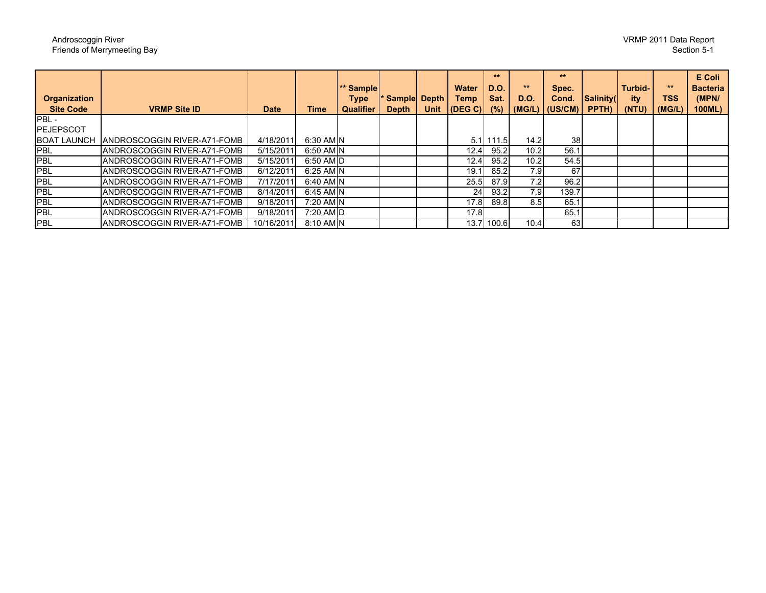| <b>Organization</b><br><b>Site Code</b> | <b>VRMP Site ID</b>                | <b>Date</b> | Time      | ** Sample<br><b>Type</b><br><b>Qualifier</b> | <b>Sample Depth</b><br><b>Depth</b> | Unit | <b>Water</b><br>Temp<br>$ $ (DEG C) $ $ | **<br><b>D.O.</b><br>Sat.<br>(%) | **<br><b>D.O.</b> | 大大<br>Spec.<br>Cond.<br>$(MG/L)$ $(US/CM)$ | Salinity(<br>PPTH) | Turbid-<br>ity<br>(NTU) | **<br><b>TSS</b><br>(MG/L) | E Coli<br><b>Bacteria</b><br>(MPN/<br>100ML) |
|-----------------------------------------|------------------------------------|-------------|-----------|----------------------------------------------|-------------------------------------|------|-----------------------------------------|----------------------------------|-------------------|--------------------------------------------|--------------------|-------------------------|----------------------------|----------------------------------------------|
| PBL-                                    |                                    |             |           |                                              |                                     |      |                                         |                                  |                   |                                            |                    |                         |                            |                                              |
| <b>PEJEPSCOT</b>                        |                                    |             |           |                                              |                                     |      |                                         |                                  |                   |                                            |                    |                         |                            |                                              |
| <b>BOAT LAUNCH</b>                      | ANDROSCOGGIN RIVER-A71-FOMB        | 4/18/2011   | 6:30 AM N |                                              |                                     |      |                                         | $5.1$ 111.5                      | 14.21             | <b>38</b>                                  |                    |                         |                            |                                              |
| <b>PBL</b>                              | <b>ANDROSCOGGIN RIVER-A71-FOMB</b> | 5/15/2011   | 6:50 AM N |                                              |                                     |      | 12.4                                    | 95.2                             | 10.2              | 56.1                                       |                    |                         |                            |                                              |
| <b>PBL</b>                              | <b>ANDROSCOGGIN RIVER-A71-FOMB</b> | 5/15/2011   | 6:50 AM D |                                              |                                     |      | 12.4                                    | 95.2                             | 10.2              | 54.5                                       |                    |                         |                            |                                              |
| <b>PBL</b>                              | <b>ANDROSCOGGIN RIVER-A71-FOMB</b> | 6/12/2011   | 6:25 AM N |                                              |                                     |      | 19.1                                    | 85.2                             | 7.91              | 67                                         |                    |                         |                            |                                              |
| <b>PBL</b>                              | <b>ANDROSCOGGIN RIVER-A71-FOMB</b> | 7/17/2011   | 6:40 AM N |                                              |                                     |      | 25.5                                    | 87.9                             | 7.2               | 96.2                                       |                    |                         |                            |                                              |
| <b>PBL</b>                              | <b>ANDROSCOGGIN RIVER-A71-FOMB</b> | 8/14/2011   | 6:45 AM N |                                              |                                     |      | 24                                      | 93.2                             | 7.9               | 139.7                                      |                    |                         |                            |                                              |
| <b>PBL</b>                              | ANDROSCOGGIN RIVER-A71-FOMB        | 9/18/2011   | 7:20 AM N |                                              |                                     |      | 17.8                                    | 89.8                             | 8.5               | 65.1                                       |                    |                         |                            |                                              |
| <b>PBL</b>                              | <b>ANDROSCOGGIN RIVER-A71-FOMB</b> | 9/18/2011   | 7:20 AM D |                                              |                                     |      | 17.8                                    |                                  |                   | 65.1                                       |                    |                         |                            |                                              |
| <b>PBL</b>                              | <b>ANDROSCOGGIN RIVER-A71-FOMB</b> | 10/16/2011  | 8:10 AM N |                                              |                                     |      |                                         | 13.7 100.6                       | 10.4              | 63                                         |                    |                         |                            |                                              |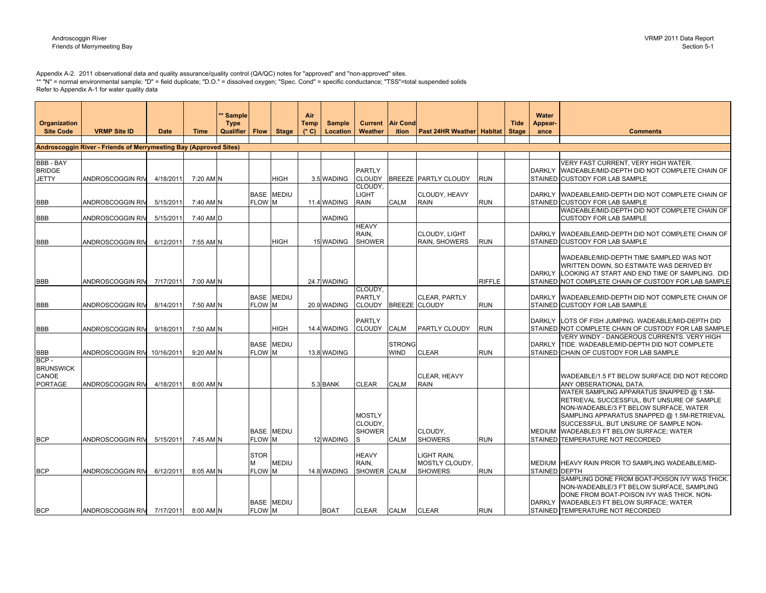Appendix A-2. 2011 observational data and quality assurance/quality control (QA/QC) notes for "approved" and "non-approved" sites.<br>\*\* "N" = normal environmental sample; "D" = field duplicate; "D.O." = dissolved oxygen; "S Refer to Appendix A-1 for water quality data

| <b>Organization</b>                                 |                                                                   |             |             | * Sample<br><b>Type</b> |                            |                   | Air<br>Temp   | <b>Sample</b> | <b>Current</b>                            | <b>Air Cond</b>              |                                                 |               | <b>Tide</b>  | Water<br>Appear- |                                                                                                                                                                                                                                                                                                    |
|-----------------------------------------------------|-------------------------------------------------------------------|-------------|-------------|-------------------------|----------------------------|-------------------|---------------|---------------|-------------------------------------------|------------------------------|-------------------------------------------------|---------------|--------------|------------------|----------------------------------------------------------------------------------------------------------------------------------------------------------------------------------------------------------------------------------------------------------------------------------------------------|
| <b>Site Code</b>                                    | <b>VRMP Site ID</b>                                               | <b>Date</b> | <b>Time</b> | <b>Qualifier</b>        | <b>Flow</b>                | <b>Stage</b>      | $(^{\circ}C)$ | Location      | Weather                                   | <i>ition</i>                 | <b>Past 24HR Weather Habitat</b>                |               | <b>Stage</b> | ance             | <b>Comments</b>                                                                                                                                                                                                                                                                                    |
|                                                     | Androscoggin River - Friends of Merrymeeting Bay (Approved Sites) |             |             |                         |                            |                   |               |               |                                           |                              |                                                 |               |              |                  |                                                                                                                                                                                                                                                                                                    |
|                                                     |                                                                   |             |             |                         |                            |                   |               |               |                                           |                              |                                                 |               |              |                  |                                                                                                                                                                                                                                                                                                    |
| <b>BBB - BAY</b><br><b>BRIDGE</b><br><b>JETTY</b>   | ANDROSCOGGIN RI\                                                  | 4/18/2011   | 7:20 AM N   |                         |                            | <b>HIGH</b>       |               | 3.5 WADING    | <b>PARTLY</b><br><b>CLOUDY</b>            |                              | <b>BREEZE PARTLY CLOUDY</b>                     | <b>RUN</b>    |              | <b>DARKLY</b>    | VERY FAST CURRENT, VERY HIGH WATER.<br>WADEABLE/MID-DEPTH DID NOT COMPLETE CHAIN OF<br>STAINED CUSTODY FOR LAB SAMPLE                                                                                                                                                                              |
| <b>BBB</b>                                          | ANDROSCOGGIN RIV                                                  | 5/15/2011   | 7:40 AM N   |                         | FLOW M                     | <b>BASE MEDIU</b> |               | 11.4 WADING   | CLOUDY,<br><b>LIGHT</b><br><b>RAIN</b>    | <b>CALM</b>                  | CLOUDY, HEAVY<br><b>RAIN</b>                    | <b>RUN</b>    |              |                  | DARKLY WADEABLE/MID-DEPTH DID NOT COMPLETE CHAIN OF<br>STAINED CUSTODY FOR LAB SAMPLE                                                                                                                                                                                                              |
| <b>BBB</b>                                          | ANDROSCOGGIN RIV                                                  | 5/15/2011   | 7:40 AM D   |                         |                            |                   |               | <b>WADING</b> |                                           |                              |                                                 |               |              |                  | WADEABLE/MID-DEPTH DID NOT COMPLETE CHAIN OF<br>CUSTODY FOR LAB SAMPLE                                                                                                                                                                                                                             |
| <b>BBB</b>                                          | ANDROSCOGGIN RIV                                                  | 6/12/2011   | 7:55 AM N   |                         |                            | <b>HIGH</b>       |               | 15 WADING     | <b>HEAVY</b><br>RAIN,<br><b>SHOWER</b>    |                              | <b>CLOUDY, LIGHT</b><br>RAIN, SHOWERS           | <b>RUN</b>    |              | <b>DARKLY</b>    | WADEABLE/MID-DEPTH DID NOT COMPLETE CHAIN OF<br>STAINED CUSTODY FOR LAB SAMPLE                                                                                                                                                                                                                     |
| <b>BBB</b>                                          | ANDROSCOGGIN RIV                                                  | 7/17/2011   | 7:00 AM N   |                         |                            |                   |               | 24.7 WADING   |                                           |                              |                                                 | <b>RIFFLE</b> |              | <b>DARKLY</b>    | WADEABLE/MID-DEPTH TIME SAMPLED WAS NOT<br>WRITTEN DOWN, SO ESTIMATE WAS DERIVED BY<br>LOOKING AT START AND END TIME OF SAMPLING. DID<br>STAINED NOT COMPLETE CHAIN OF CUSTODY FOR LAB SAMPLE                                                                                                      |
| <b>BBB</b>                                          | ANDROSCOGGIN RIV                                                  | 8/14/2011   | 7:50 AM N   |                         | FLOW M                     | <b>BASE MEDIU</b> |               | 20.9 WADING   | CLOUDY,<br><b>PARTLY</b><br><b>CLOUDY</b> | <b>BREEZE</b> CLOUDY         | <b>CLEAR, PARTLY</b>                            | <b>RUN</b>    |              | <b>DARKLY</b>    | WADEABLE/MID-DEPTH DID NOT COMPLETE CHAIN OF<br>STAINED CUSTODY FOR LAB SAMPLE                                                                                                                                                                                                                     |
| <b>BBB</b>                                          | ANDROSCOGGIN RIV                                                  | 9/18/2011   | 7:50 AM N   |                         |                            | <b>HIGH</b>       |               | 14.4 WADING   | <b>PARTLY</b><br><b>CLOUDY</b>            | <b>CALM</b>                  | PARTLY CLOUDY                                   | <b>RUN</b>    |              | <b>DARKLY</b>    | LOTS OF FISH JUMPING. WADEABLE/MID-DEPTH DID<br>STAINED NOT COMPLETE CHAIN OF CUSTODY FOR LAB SAMPLE                                                                                                                                                                                               |
| <b>BBB</b>                                          | ANDROSCOGGIN RIV                                                  | 10/16/2011  | 9:20 AM N   |                         | <b>FLOW M</b>              | <b>BASE MEDIU</b> |               | 13.8 WADING   |                                           | <b>STRONG</b><br><b>WIND</b> | <b>CLEAR</b>                                    | <b>RUN</b>    |              | <b>DARKLY</b>    | VERY WINDY - DANGEROUS CURRENTS. VERY HIGH<br>TIDE, WADEABLE/MID-DEPTH DID NOT COMPLETE<br>STAINED CHAIN OF CUSTODY FOR LAB SAMPLE                                                                                                                                                                 |
| BCP-<br><b>BRUNSWICK</b><br>CANOE<br><b>PORTAGE</b> | ANDROSCOGGIN RIV                                                  | 4/18/2011   | 8:00 AM N   |                         |                            |                   |               | 5.3 BANK      | <b>CLEAR</b>                              | <b>CALM</b>                  | CLEAR, HEAVY<br><b>RAIN</b>                     |               |              |                  | WADEABLE/1.5 FT BELOW SURFACE DID NOT RECORD<br>ANY OBSERATIONAL DATA.                                                                                                                                                                                                                             |
| <b>BCP</b>                                          | <b>ANDROSCOGGIN RIV</b>                                           | 5/15/2011   | 7:45 AM N   |                         | <b>FLOW M</b>              | <b>BASE MEDIU</b> |               | 12 WADING     | <b>MOSTLY</b><br>CLOUDY,<br><b>SHOWER</b> | <b>CALM</b>                  | CLOUDY,<br><b>SHOWERS</b>                       | <b>RUN</b>    |              | <b>MEDIUM</b>    | WATER SAMPLING APPARATUS SNAPPED @ 1.5M-<br>RETRIEVAL SUCCESSFUL, BUT UNSURE OF SAMPLE<br>NON-WADEABLE/3 FT BELOW SURFACE, WATER<br>SAMPLING APPARATUS SNAPPED @ 1.5M-RETRIEVAL<br>SUCCESSFUL, BUT UNSURE OF SAMPLE NON-<br>WADEABLE/3 FT BELOW SURFACE; WATER<br>STAINED TEMPERATURE NOT RECORDED |
| <b>BCP</b>                                          | ANDROSCOGGIN RIV                                                  | 6/12/2011   | 8:05 AM N   |                         | <b>STOR</b><br>М<br>FLOW M | <b>MEDIU</b>      |               | 14.8 WADING   | <b>HEAVY</b><br>RAIN.<br>SHOWER CALM      |                              | LIGHT RAIN,<br>MOSTLY CLOUDY,<br><b>SHOWERS</b> | <b>RUN</b>    |              | STAINED DEPTH    | MEDIUM HEAVY RAIN PRIOR TO SAMPLING WADEABLE/MID-                                                                                                                                                                                                                                                  |
| <b>BCP</b>                                          | ANDROSCOGGIN RIV 7/17/2011 8:00 AM N                              |             |             |                         | FLOW M                     | <b>BASE MEDIU</b> |               | <b>BOAT</b>   | <b>CLEAR</b>                              | <b>CALM</b>                  | <b>CLEAR</b>                                    | <b>RUN</b>    |              | <b>DARKLY</b>    | SAMPLING DONE FROM BOAT-POISON IVY WAS THICK.<br>NON-WADEABLE/3 FT BELOW SURFACE, SAMPLING<br>DONE FROM BOAT-POISON IVY WAS THICK. NON-<br>WADEABLE/3 FT BELOW SURFACE; WATER<br>STAINED TEMPERATURE NOT RECORDED                                                                                  |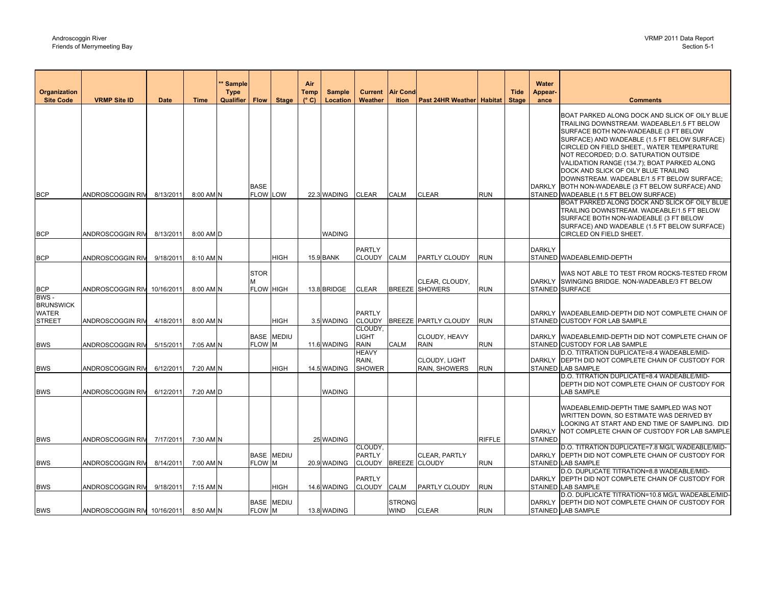| Organization                                      |                             |             |             | <b>Sample</b><br><b>Type</b> |                          |                   | Air<br>Temp   | <b>Sample</b>    |                                        | <b>Current   Air Cond</b> |                                         |               | <b>Tide</b>  | Water<br>Appear- |                                                                                                                                                                                                                                                                                                                                                                                                                                                                                                           |
|---------------------------------------------------|-----------------------------|-------------|-------------|------------------------------|--------------------------|-------------------|---------------|------------------|----------------------------------------|---------------------------|-----------------------------------------|---------------|--------------|------------------|-----------------------------------------------------------------------------------------------------------------------------------------------------------------------------------------------------------------------------------------------------------------------------------------------------------------------------------------------------------------------------------------------------------------------------------------------------------------------------------------------------------|
| <b>Site Code</b>                                  | <b>VRMP Site ID</b>         | <b>Date</b> | <b>Time</b> | Qualifier                    | <b>Flow</b>              | <b>Stage</b>      | $(^{\circ}C)$ | Location         | Weather                                | ition                     | <b>Past 24HR Weather Habitat</b>        |               | <b>Stage</b> | ance             | <b>Comments</b>                                                                                                                                                                                                                                                                                                                                                                                                                                                                                           |
| <b>BCP</b>                                        | ANDROSCOGGIN RIV            | 8/13/2011   | 8:00 AM N   |                              | <b>BASE</b><br>FLOW LOW  |                   |               | 22.3 WADING      | <b>CLEAR</b>                           | <b>CALM</b>               | <b>CLEAR</b>                            | RUN           |              | <b>DARKLY</b>    | BOAT PARKED ALONG DOCK AND SLICK OF OILY BLUE<br>TRAILING DOWNSTREAM. WADEABLE/1.5 FT BELOW<br>SURFACE BOTH NON-WADEABLE (3 FT BELOW<br>SURFACE) AND WADEABLE (1.5 FT BELOW SURFACE)<br>CIRCLED ON FIELD SHEET., WATER TEMPERATURE<br>NOT RECORDED; D.O. SATURATION OUTSIDE<br>VALIDATION RANGE (134.7); BOAT PARKED ALONG<br>DOCK AND SLICK OF OILY BLUE TRAILING<br>DOWNSTREAM. WADEABLE/1.5 FT BELOW SURFACE;<br>BOTH NON-WADEABLE (3 FT BELOW SURFACE) AND<br>STAINED WADEABLE (1.5 FT BELOW SURFACE) |
|                                                   |                             |             |             |                              |                          |                   |               |                  |                                        |                           |                                         |               |              |                  | BOAT PARKED ALONG DOCK AND SLICK OF OILY BLUE                                                                                                                                                                                                                                                                                                                                                                                                                                                             |
| <b>BCP</b>                                        | ANDROSCOGGIN RIV            | 8/13/2011   | 8:00 AM D   |                              |                          |                   |               | <b>WADING</b>    |                                        |                           |                                         |               |              |                  | TRAILING DOWNSTREAM. WADEABLE/1.5 FT BELOW<br>SURFACE BOTH NON-WADEABLE (3 FT BELOW<br>SURFACE) AND WADEABLE (1.5 FT BELOW SURFACE)<br>CIRCLED ON FIELD SHEET.                                                                                                                                                                                                                                                                                                                                            |
|                                                   |                             |             |             |                              |                          |                   |               |                  | <b>PARTLY</b>                          |                           |                                         |               |              | <b>DARKLY</b>    |                                                                                                                                                                                                                                                                                                                                                                                                                                                                                                           |
| <b>BCP</b>                                        | ANDROSCOGGIN RIV            | 9/18/2011   | 8:10 AM N   |                              |                          | <b>HIGH</b>       |               | <b>15.9 BANK</b> | CLOUDY CALM                            |                           | PARTLY CLOUDY                           | <b>RUN</b>    |              |                  | STAINED WADEABLE/MID-DEPTH                                                                                                                                                                                                                                                                                                                                                                                                                                                                                |
| <b>BCP</b>                                        | ANDROSCOGGIN RIV            | 10/16/2011  | 8:00 AM N   |                              | <b>STOR</b><br>FLOW HIGH |                   |               | 13.8 BRIDGE      | <b>CLEAR</b>                           |                           | CLEAR, CLOUDY,<br><b>BREEZE SHOWERS</b> | <b>RUN</b>    |              | <b>DARKLY</b>    | WAS NOT ABLE TO TEST FROM ROCKS-TESTED FROM<br>SWINGING BRIDGE. NON-WADEABLE/3 FT BELOW<br>STAINED SURFACE                                                                                                                                                                                                                                                                                                                                                                                                |
| BWS-                                              |                             |             |             |                              |                          |                   |               |                  |                                        |                           |                                         |               |              |                  |                                                                                                                                                                                                                                                                                                                                                                                                                                                                                                           |
| <b>BRUNSWICK</b><br><b>WATER</b><br><b>STREET</b> | ANDROSCOGGIN RIV            | 4/18/2011   | 8:00 AM N   |                              |                          | <b>HIGH</b>       |               | 3.5 WADING       | <b>PARTLY</b>                          |                           | CLOUDY BREEZE PARTLY CLOUDY             | <b>RUN</b>    |              |                  | DARKLY WADEABLE/MID-DEPTH DID NOT COMPLETE CHAIN OF<br>STAINED CUSTODY FOR LAB SAMPLE                                                                                                                                                                                                                                                                                                                                                                                                                     |
| <b>BWS</b>                                        | ANDROSCOGGIN RI\            | 5/15/2011   | 7:05 AM N   |                              | FLOW M                   | <b>BASE MEDIU</b> |               | 11.6 WADING      | CLOUDY,<br><b>LIGHT</b><br><b>RAIN</b> | CALM                      | CLOUDY, HEAVY<br><b>RAIN</b>            | RUN           |              |                  | DARKLY WADEABLE/MID-DEPTH DID NOT COMPLETE CHAIN OF<br>STAINED CUSTODY FOR LAB SAMPLE                                                                                                                                                                                                                                                                                                                                                                                                                     |
| <b>BWS</b>                                        | ANDROSCOGGIN RIV            | 6/12/2011   | 7:20 AM N   |                              |                          | <b>HIGH</b>       |               | 14.5 WADING      | <b>HEAVY</b><br>RAIN,<br><b>SHOWER</b> |                           | <b>CLOUDY, LIGHT</b><br>RAIN, SHOWERS   | run           |              |                  | D.O. TITRATION DUPLICATE=8.4 WADEABLE/MID-<br>DARKLY DEPTH DID NOT COMPLETE CHAIN OF CUSTODY FOR<br>STAINED LAB SAMPLE                                                                                                                                                                                                                                                                                                                                                                                    |
| <b>BWS</b>                                        | ANDROSCOGGIN RIV            | 6/12/2011   | 7:20 AM D   |                              |                          |                   |               | <b>WADING</b>    |                                        |                           |                                         |               |              |                  | D.O. TITRATION DUPLICATE=8.4 WADEABLE/MID-<br>DEPTH DID NOT COMPLETE CHAIN OF CUSTODY FOR<br>LAB SAMPLE                                                                                                                                                                                                                                                                                                                                                                                                   |
|                                                   |                             |             |             |                              |                          |                   |               |                  |                                        |                           |                                         |               |              | <b>DARKLY</b>    | WADEABLE/MID-DEPTH TIME SAMPLED WAS NOT<br>WRITTEN DOWN, SO ESTIMATE WAS DERIVED BY<br>LOOKING AT START AND END TIME OF SAMPLING. DID  <br>NOT COMPLETE CHAIN OF CUSTODY FOR LAB SAMPLE                                                                                                                                                                                                                                                                                                                   |
| <b>BWS</b>                                        | ANDROSCOGGIN RIV            | 7/17/2011   | 7:30 AM N   |                              |                          |                   |               | 25 WADING        | CLOUDY,                                |                           |                                         | <b>RIFFLE</b> |              | <b>STAINED</b>   | D.O. TITRATION DUPLICATE=7.8 MG/L WADEABLE/MID-                                                                                                                                                                                                                                                                                                                                                                                                                                                           |
| <b>BWS</b>                                        | <b>ANDROSCOGGIN RIV</b>     | 8/14/2011   | 7:00 AM N   |                              | FLOW M                   | <b>BASE MEDIU</b> |               | 20.9 WADING      | <b>PARTLY</b><br>CLOUDY BREEZE CLOUDY  |                           | CLEAR, PARTLY                           | <b>RUN</b>    |              | <b>DARKLY</b>    | DEPTH DID NOT COMPLETE CHAIN OF CUSTODY FOR<br>STAINED LAB SAMPLE                                                                                                                                                                                                                                                                                                                                                                                                                                         |
| <b>BWS</b>                                        | ANDROSCOGGIN RIV            | 9/18/2011   | 7:15 AM N   |                              |                          | <b>HIGH</b>       |               | 14.6 WADING      | <b>PARTLY</b><br>CLOUDY CALM           |                           | PARTLY CLOUDY                           | <b>RUN</b>    |              |                  | D.O. DUPLICATE TITRATION=8.8 WADEABLE/MID-<br>DARKLY DEPTH DID NOT COMPLETE CHAIN OF CUSTODY FOR<br>STAINED LAB SAMPLE                                                                                                                                                                                                                                                                                                                                                                                    |
|                                                   |                             |             |             |                              |                          | <b>BASE MEDIU</b> |               |                  |                                        | <b>STRONG</b>             |                                         |               |              | <b>DARKLY</b>    | D.O. DUPLICATE TITRATION=10.8 MG/L WADEABLE/MID-<br>DEPTH DID NOT COMPLETE CHAIN OF CUSTODY FOR                                                                                                                                                                                                                                                                                                                                                                                                           |
| <b>BWS</b>                                        | ANDROSCOGGIN RIV 10/16/2011 |             | 8:50 AM N   |                              | FLOW M                   |                   |               | 13.8 WADING      |                                        | <b>WIND</b>               | <b>CLEAR</b>                            | <b>RUN</b>    |              |                  | STAINED LAB SAMPLE                                                                                                                                                                                                                                                                                                                                                                                                                                                                                        |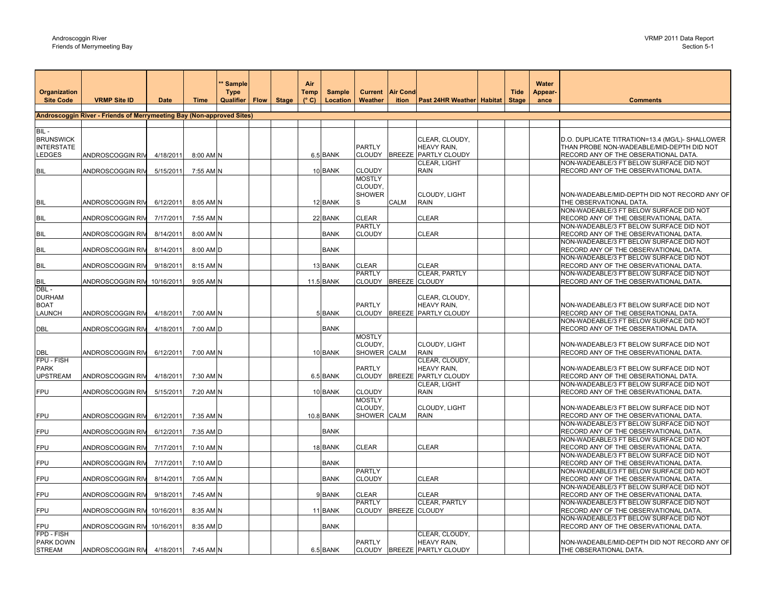| <b>Organization</b>                                     | <b>VRMP Site ID</b>                                                   | <b>Date</b> | <b>Time</b> | * Sample<br><b>Type</b> |              | Air<br><b>Temp</b><br>$(^{\circ}C)$ | <b>Sample</b>    | <b>Current</b><br>Weather                 | <b>Air Cond</b><br>ition |                                                              | <b>Tide</b><br><b>Stage</b> | Water<br>Appear- | <b>Comments</b>                                                                                                                      |
|---------------------------------------------------------|-----------------------------------------------------------------------|-------------|-------------|-------------------------|--------------|-------------------------------------|------------------|-------------------------------------------|--------------------------|--------------------------------------------------------------|-----------------------------|------------------|--------------------------------------------------------------------------------------------------------------------------------------|
| <b>Site Code</b>                                        |                                                                       |             |             | Qualifier   Flow        | <b>Stage</b> |                                     | Location         |                                           |                          | <b>Past 24HR Weather Habitat</b>                             |                             | ance             |                                                                                                                                      |
|                                                         | Androscoggin River - Friends of Merrymeeting Bay (Non-approved Sites) |             |             |                         |              |                                     |                  |                                           |                          |                                                              |                             |                  |                                                                                                                                      |
|                                                         |                                                                       |             |             |                         |              |                                     |                  |                                           |                          |                                                              |                             |                  |                                                                                                                                      |
| BIL-<br><b>BRUNSWICK</b><br><b>INTERSTATE</b><br>LEDGES | ANDROSCOGGIN RIV                                                      | 4/18/2011   | 8:00 AM N   |                         |              |                                     | 6.5 BANK         | PARTLY<br><b>CLOUDY</b>                   | <b>BREEZE</b>            | CLEAR, CLOUDY,<br>HEAVY RAIN,<br>PARTLY CLOUDY               |                             |                  | D.O. DUPLICATE TITRATION=13.4 (MG/L)- SHALLOWER<br>THAN PROBE NON-WADEABLE/MID-DEPTH DID NOT<br>RECORD ANY OF THE OBSERATIONAL DATA. |
| <b>BIL</b>                                              | ANDROSCOGGIN RI\                                                      | 5/15/2011   | 7:55 AM N   |                         |              |                                     | 10 BANK          | <b>CLOUDY</b>                             |                          | CLEAR, LIGHT<br>RAIN                                         |                             |                  | NON-WADEABLE/3 FT BELOW SURFACE DID NOT<br>RECORD ANY OF THE OBSERVATIONAL DATA.                                                     |
|                                                         |                                                                       |             |             |                         |              |                                     |                  | <b>MOSTLY</b><br>CLOUDY,<br><b>SHOWER</b> |                          | CLOUDY, LIGHT                                                |                             |                  | NON-WADEABLE/MID-DEPTH DID NOT RECORD ANY OF                                                                                         |
| BIL                                                     | ANDROSCOGGIN RIV                                                      | 6/12/2011   | 8:05 AM N   |                         |              |                                     | 12 BANK          | S                                         | <b>CALM</b>              | RAIN                                                         |                             |                  | THE OBSERVATIONAL DATA.<br>NON-WADEABLE/3 FT BELOW SURFACE DID NOT                                                                   |
| <b>BIL</b>                                              | ANDROSCOGGIN RIV                                                      | 7/17/2011   | 7:55 AM N   |                         |              |                                     | 22 BANK          | <b>CLEAR</b>                              |                          | CLEAR                                                        |                             |                  | RECORD ANY OF THE OBSERVATIONAL DATA.                                                                                                |
| BIL                                                     | ANDROSCOGGIN RIV                                                      | 8/14/2011   | 8:00 AM N   |                         |              |                                     | <b>BANK</b>      | PARTLY<br><b>CLOUDY</b>                   |                          | CLEAR                                                        |                             |                  | NON-WADEABLE/3 FT BELOW SURFACE DID NOT<br>RECORD ANY OF THE OBSERVATIONAL DATA.                                                     |
| <b>BIL</b>                                              | ANDROSCOGGIN RIV                                                      | 8/14/2011   | 8:00 AM D   |                         |              |                                     | <b>BANK</b>      |                                           |                          |                                                              |                             |                  | NON-WADEABLE/3 FT BELOW SURFACE DID NOT<br>RECORD ANY OF THE OBSERVATIONAL DATA.                                                     |
| <b>BIL</b>                                              | ANDROSCOGGIN RI <mark>\</mark>                                        | 9/18/2011   | 8:15 AM N   |                         |              |                                     | 13 BANK          | <b>CLEAR</b>                              |                          | CLEAR                                                        |                             |                  | NON-WADEABLE/3 FT BELOW SURFACE DID NOT<br>RECORD ANY OF THE OBSERVATIONAL DATA.                                                     |
| <b>BIL</b>                                              | ANDROSCOGGIN RIV                                                      | 10/16/2011  | 9:05 AM N   |                         |              |                                     | <b>11.5 BANK</b> | <b>PARTLY</b><br>CLOUDY BREEZE CLOUDY     |                          | CLEAR, PARTLY                                                |                             |                  | NON-WADEABLE/3 FT BELOW SURFACE DID NOT<br>RECORD ANY OF THE OBSERVATIONAL DATA.                                                     |
| DBL-<br><b>DURHAM</b><br><b>BOAT</b><br>LAUNCH          | ANDROSCOGGIN RIV                                                      | 4/18/2011   | 7:00 AM N   |                         |              |                                     | 5 BANK           | PARTLY                                    |                          | CLEAR, CLOUDY,<br>HEAVY RAIN,<br>CLOUDY BREEZE PARTLY CLOUDY |                             |                  | NON-WADEABLE/3 FT BELOW SURFACE DID NOT<br>RECORD ANY OF THE OBSERATIONAL DATA.                                                      |
| DBL                                                     | ANDROSCOGGIN RIV                                                      | 4/18/2011   | 7:00 AM D   |                         |              |                                     | <b>BANK</b>      |                                           |                          |                                                              |                             |                  | NON-WADEABLE/3 FT BELOW SURFACE DID NOT<br>RECORD ANY OF THE OBSERATIONAL DATA.                                                      |
| DBL                                                     | ANDROSCOGGIN RIV                                                      | 6/12/2011   | 7:00 AM N   |                         |              |                                     | 10 BANK          | <b>MOSTLY</b><br>CLOUDY,<br>SHOWER CALM   |                          | CLOUDY, LIGHT<br>RAIN                                        |                             |                  | NON-WADEABLE/3 FT BELOW SURFACE DID NOT<br>RECORD ANY OF THE OBSERVATIONAL DATA.                                                     |
| FPU - FISH<br><b>PARK</b><br><b>UPSTREAM</b>            | ANDROSCOGGIN RIV                                                      | 4/18/2011   | 7:30 AM N   |                         |              |                                     | 6.5 BANK         | PARTLY<br>CLOUDY BREEZE                   |                          | CLEAR, CLOUDY,<br>HEAVY RAIN,<br>PARTLY CLOUDY               |                             |                  | NON-WADEABLE/3 FT BELOW SURFACE DID NOT<br>RECORD ANY OF THE OBSERATIONAL DATA.                                                      |
| FPU                                                     | ANDROSCOGGIN RIV                                                      | 5/15/2011   | 7:20 AM N   |                         |              |                                     | 10 BANK          | <b>CLOUDY</b>                             |                          | CLEAR, LIGHT<br>RAIN                                         |                             |                  | NON-WADEABLE/3 FT BELOW SURFACE DID NOT<br>RECORD ANY OF THE OBSERVATIONAL DATA.                                                     |
| FPU                                                     | ANDROSCOGGIN RI\                                                      | 6/12/2011   | 7:35 AM N   |                         |              |                                     | 10.8 BANK        | <b>MOSTLY</b><br>CLOUDY,<br>SHOWER CALM   |                          | CLOUDY, LIGHT<br>RAIN                                        |                             |                  | NON-WADEABLE/3 FT BELOW SURFACE DID NOT<br>RECORD ANY OF THE OBSERVATIONAL DATA.                                                     |
| FPU                                                     | ANDROSCOGGIN RIV                                                      | 6/12/2011   | 7:35 AM D   |                         |              |                                     | <b>BANK</b>      |                                           |                          |                                                              |                             |                  | NON-WADEABLE/3 FT BELOW SURFACE DID NOT<br>RECORD ANY OF THE OBSERVATIONAL DATA.                                                     |
| FPU                                                     | ANDROSCOGGIN RI\                                                      | 7/17/2011   | 7:10 AM N   |                         |              |                                     | 18 BANK          | CLEAR                                     |                          | CLEAR                                                        |                             |                  | NON-WADEABLE/3 FT BELOW SURFACE DID NOT<br>RECORD ANY OF THE OBSERVATIONAL DATA.<br>NON-WADEABLE/3 FT BELOW SURFACE DID NOT          |
| FPU                                                     | ANDROSCOGGIN RIV                                                      | 7/17/2011   | 7:10 AM D   |                         |              |                                     | <b>BANK</b>      |                                           |                          |                                                              |                             |                  | RECORD ANY OF THE OBSERVATIONAL DATA.                                                                                                |
| FPU                                                     | ANDROSCOGGIN RIV                                                      | 8/14/2011   | 7:05 AM N   |                         |              |                                     | <b>BANK</b>      | <b>PARTLY</b><br><b>CLOUDY</b>            |                          | CLEAR                                                        |                             |                  | NON-WADEABLE/3 FT BELOW SURFACE DID NOT<br>RECORD ANY OF THE OBSERVATIONAL DATA.                                                     |
| FPU                                                     | ANDROSCOGGIN RIV                                                      | 9/18/2011   | 7:45 AM N   |                         |              |                                     | 9BANK            | <b>CLEAR</b>                              |                          | <b>CLEAR</b>                                                 |                             |                  | NON-WADEABLE/3 FT BELOW SURFACE DID NOT<br>RECORD ANY OF THE OBSERVATIONAL DATA.                                                     |
| FPU                                                     | ANDROSCOGGIN RIV                                                      | 10/16/2011  | 8:35 AM N   |                         |              |                                     | 11 BANK          | PARTLY<br>CLOUDY BREEZE                   |                          | CLEAR, PARTLY<br><b>CLOUDY</b>                               |                             |                  | NON-WADEABLE/3 FT BELOW SURFACE DID NOT<br>RECORD ANY OF THE OBSERVATIONAL DATA.                                                     |
| FPU                                                     | ANDROSCOGGIN RIV                                                      | 10/16/2011  | 8:35 AM D   |                         |              |                                     | <b>BANK</b>      |                                           |                          |                                                              |                             |                  | NON-WADEABLE/3 FT BELOW SURFACE DID NOT<br>RECORD ANY OF THE OBSERVATIONAL DATA.                                                     |
| FPD - FISH<br>PARK DOWN<br><b>STREAM</b>                | ANDROSCOGGIN RIV                                                      | 4/18/2011   | 7:45 AM N   |                         |              |                                     | 6.5 BANK         | PARTLY                                    |                          | CLEAR, CLOUDY,<br>HEAVY RAIN,<br>CLOUDY BREEZE PARTLY CLOUDY |                             |                  | NON-WADEABLE/MID-DEPTH DID NOT RECORD ANY OF<br>THE OBSERATIONAL DATA.                                                               |